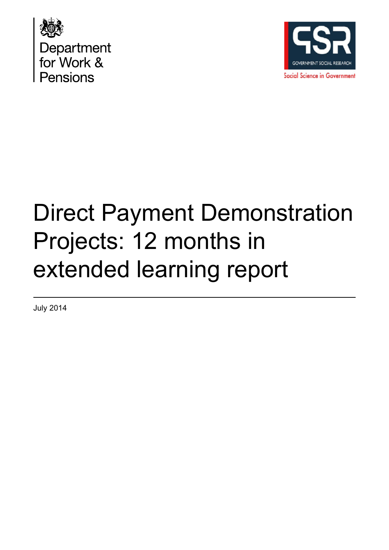



# Direct Payment Demonstration Projects: 12 months in extended learning report

July 2014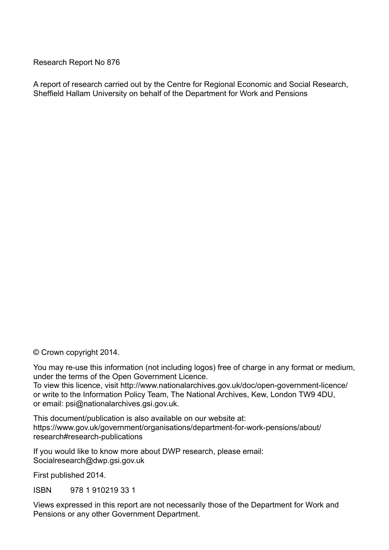Research Report No 876

A report of research carried out by the Centre for Regional Economic and Social Research, Sheffield Hallam University on behalf of the Department for Work and Pensions

© Crown copyright 2014.

You may re-use this information (not including logos) free of charge in any format or medium, under the terms of the Open Government Licence. To view this licence, visit http://www.nationalarchives.gov.uk/doc/open-government-licence/ or write to the Information Policy Team, The National Archives, Kew, London TW9 4DU,

or email: psi@nationalarchives.gsi.gov.uk.

This document/publication is also available on our website at: https://www.gov.uk/government/organisations/department-for-work-pensions/about/ research#research-publications

If you would like to know more about DWP research, please email: Socialresearch@dwp.gsi.gov.uk

First published 2014.

ISBN 978 1 910219 33 1

Views expressed in this report are not necessarily those of the Department for Work and Pensions or any other Government Department.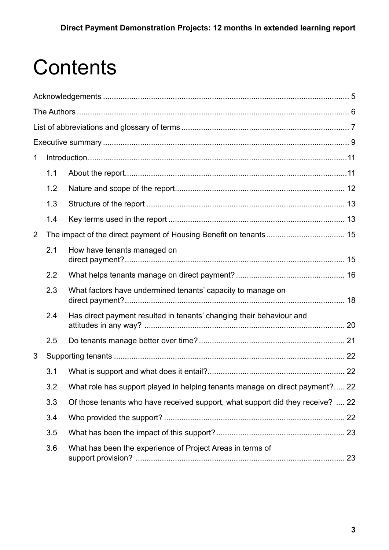# **Contents**

| 1              |     |                                                                                |  |
|----------------|-----|--------------------------------------------------------------------------------|--|
|                | 1.1 |                                                                                |  |
|                | 1.2 |                                                                                |  |
|                | 1.3 |                                                                                |  |
|                | 1.4 |                                                                                |  |
| $\overline{2}$ |     |                                                                                |  |
|                | 2.1 | How have tenants managed on                                                    |  |
|                | 2.2 |                                                                                |  |
|                | 2.3 | What factors have undermined tenants' capacity to manage on                    |  |
|                | 2.4 | Has direct payment resulted in tenants' changing their behaviour and           |  |
|                | 2.5 |                                                                                |  |
| 3              |     |                                                                                |  |
|                | 3.1 |                                                                                |  |
|                | 3.2 | What role has support played in helping tenants manage on direct payment? 22   |  |
|                | 3.3 | Of those tenants who have received support, what support did they receive?  22 |  |
|                | 3.4 |                                                                                |  |
|                | 3.5 |                                                                                |  |
|                | 3.6 | What has been the experience of Project Areas in terms of                      |  |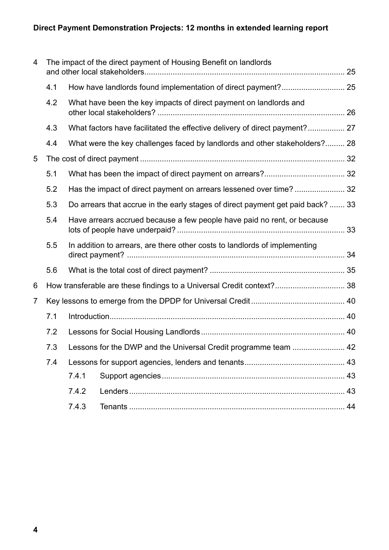| 4                                                                          | The impact of the direct payment of Housing Benefit on landlords |                                                                            |                                                                                 |    |  |  |
|----------------------------------------------------------------------------|------------------------------------------------------------------|----------------------------------------------------------------------------|---------------------------------------------------------------------------------|----|--|--|
|                                                                            | 4.1                                                              |                                                                            |                                                                                 |    |  |  |
|                                                                            | 4.2                                                              | What have been the key impacts of direct payment on landlords and          |                                                                                 |    |  |  |
|                                                                            | 4.3                                                              |                                                                            |                                                                                 |    |  |  |
|                                                                            | 4.4                                                              |                                                                            | What were the key challenges faced by landlords and other stakeholders? 28      |    |  |  |
| 5                                                                          |                                                                  |                                                                            |                                                                                 |    |  |  |
|                                                                            | 5.1                                                              |                                                                            |                                                                                 |    |  |  |
|                                                                            | 5.2                                                              |                                                                            | Has the impact of direct payment on arrears lessened over time? 32              |    |  |  |
|                                                                            | 5.3                                                              |                                                                            | Do arrears that accrue in the early stages of direct payment get paid back?  33 |    |  |  |
|                                                                            | 5.4                                                              | Have arrears accrued because a few people have paid no rent, or because    |                                                                                 |    |  |  |
|                                                                            | 5.5                                                              | In addition to arrears, are there other costs to landlords of implementing |                                                                                 |    |  |  |
|                                                                            | 5.6                                                              |                                                                            |                                                                                 |    |  |  |
| How transferable are these findings to a Universal Credit context? 38<br>6 |                                                                  |                                                                            |                                                                                 |    |  |  |
| 7                                                                          |                                                                  |                                                                            |                                                                                 |    |  |  |
|                                                                            | 7.1                                                              |                                                                            |                                                                                 |    |  |  |
|                                                                            | 7.2                                                              |                                                                            |                                                                                 |    |  |  |
|                                                                            | 7.3                                                              | Lessons for the DWP and the Universal Credit programme team  42            |                                                                                 |    |  |  |
|                                                                            | 7.4                                                              |                                                                            |                                                                                 |    |  |  |
|                                                                            |                                                                  | 7.4.1                                                                      |                                                                                 |    |  |  |
|                                                                            |                                                                  | 7.4.2                                                                      |                                                                                 |    |  |  |
|                                                                            |                                                                  | 7.4.3                                                                      |                                                                                 | 44 |  |  |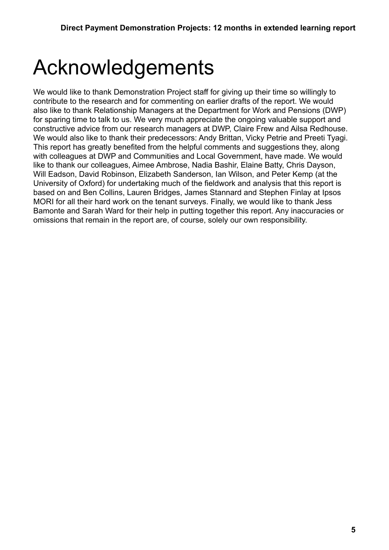# <span id="page-4-0"></span>Acknowledgements

We would like to thank Demonstration Project staff for giving up their time so willingly to contribute to the research and for commenting on earlier drafts of the report. We would also like to thank Relationship Managers at the Department for Work and Pensions (DWP) for sparing time to talk to us. We very much appreciate the ongoing valuable support and constructive advice from our research managers at DWP, Claire Frew and Ailsa Redhouse. We would also like to thank their predecessors: Andy Brittan, Vicky Petrie and Preeti Tyagi. This report has greatly benefited from the helpful comments and suggestions they, along with colleagues at DWP and Communities and Local Government, have made. We would like to thank our colleagues, Aimee Ambrose, Nadia Bashir, Elaine Batty, Chris Dayson, Will Eadson, David Robinson, Elizabeth Sanderson, Ian Wilson, and Peter Kemp (at the University of Oxford) for undertaking much of the fieldwork and analysis that this report is based on and Ben Collins, Lauren Bridges, James Stannard and Stephen Finlay at Ipsos MORI for all their hard work on the tenant surveys. Finally, we would like to thank Jess Bamonte and Sarah Ward for their help in putting together this report. Any inaccuracies or omissions that remain in the report are, of course, solely our own responsibility.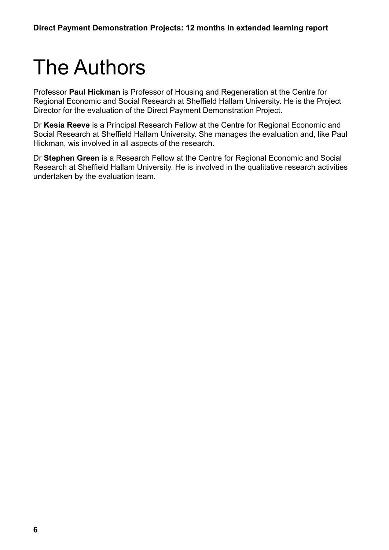# <span id="page-5-0"></span>The Authors

Professor **Paul Hickman** is Professor of Housing and Regeneration at the Centre for Regional Economic and Social Research at Sheffield Hallam University. He is the Project Director for the evaluation of the Direct Payment Demonstration Project.

Dr **Kesia Reeve** is a Principal Research Fellow at the Centre for Regional Economic and Social Research at Sheffield Hallam University. She manages the evaluation and, like Paul Hickman, wis involved in all aspects of the research.

Dr **Stephen Green** is a Research Fellow at the Centre for Regional Economic and Social Research at Sheffield Hallam University. He is involved in the qualitative research activities undertaken by the evaluation team.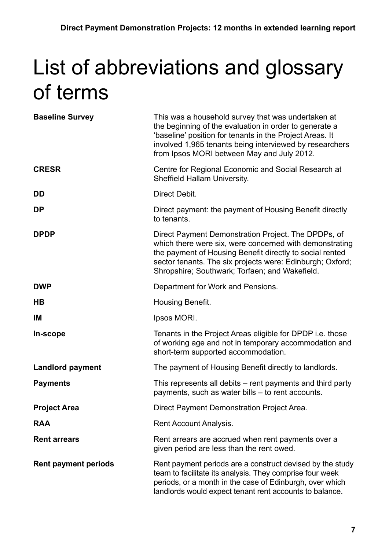# <span id="page-6-0"></span>List of abbreviations and glossary of terms

| <b>Baseline Survey</b>      | This was a household survey that was undertaken at<br>the beginning of the evaluation in order to generate a<br>'baseline' position for tenants in the Project Areas. It<br>involved 1,965 tenants being interviewed by researchers<br>from Ipsos MORI between May and July 2012.         |
|-----------------------------|-------------------------------------------------------------------------------------------------------------------------------------------------------------------------------------------------------------------------------------------------------------------------------------------|
| <b>CRESR</b>                | Centre for Regional Economic and Social Research at<br><b>Sheffield Hallam University.</b>                                                                                                                                                                                                |
| DD                          | Direct Debit.                                                                                                                                                                                                                                                                             |
| <b>DP</b>                   | Direct payment: the payment of Housing Benefit directly<br>to tenants.                                                                                                                                                                                                                    |
| <b>DPDP</b>                 | Direct Payment Demonstration Project. The DPDPs, of<br>which there were six, were concerned with demonstrating<br>the payment of Housing Benefit directly to social rented<br>sector tenants. The six projects were: Edinburgh; Oxford;<br>Shropshire; Southwark; Torfaen; and Wakefield. |
| <b>DWP</b>                  | Department for Work and Pensions.                                                                                                                                                                                                                                                         |
| H <sub>B</sub>              | Housing Benefit.                                                                                                                                                                                                                                                                          |
| IM                          | Ipsos MORI.                                                                                                                                                                                                                                                                               |
| In-scope                    | Tenants in the Project Areas eligible for DPDP i.e. those<br>of working age and not in temporary accommodation and<br>short-term supported accommodation.                                                                                                                                 |
| <b>Landlord payment</b>     | The payment of Housing Benefit directly to landlords.                                                                                                                                                                                                                                     |
| <b>Payments</b>             | This represents all debits – rent payments and third party<br>payments, such as water bills – to rent accounts.                                                                                                                                                                           |
| <b>Project Area</b>         | Direct Payment Demonstration Project Area.                                                                                                                                                                                                                                                |
| <b>RAA</b>                  | Rent Account Analysis.                                                                                                                                                                                                                                                                    |
| <b>Rent arrears</b>         | Rent arrears are accrued when rent payments over a<br>given period are less than the rent owed.                                                                                                                                                                                           |
| <b>Rent payment periods</b> | Rent payment periods are a construct devised by the study<br>team to facilitate its analysis. They comprise four week<br>periods, or a month in the case of Edinburgh, over which<br>landlords would expect tenant rent accounts to balance.                                              |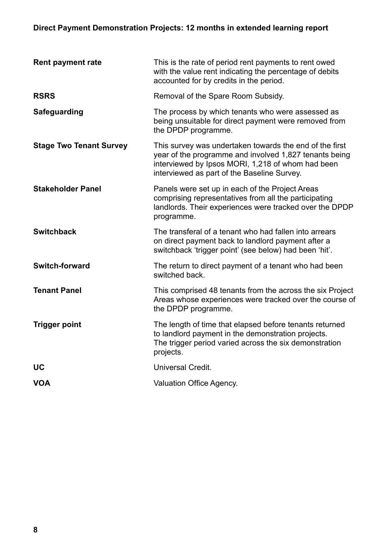### **Direct Payment Demonstration Projects: 12 months in extended learning report**

| <b>Rent payment rate</b>       | This is the rate of period rent payments to rent owed<br>with the value rent indicating the percentage of debits<br>accounted for by credits in the period.                                                           |
|--------------------------------|-----------------------------------------------------------------------------------------------------------------------------------------------------------------------------------------------------------------------|
| <b>RSRS</b>                    | Removal of the Spare Room Subsidy.                                                                                                                                                                                    |
| Safeguarding                   | The process by which tenants who were assessed as<br>being unsuitable for direct payment were removed from<br>the DPDP programme.                                                                                     |
| <b>Stage Two Tenant Survey</b> | This survey was undertaken towards the end of the first<br>year of the programme and involved 1,827 tenants being<br>interviewed by Ipsos MORI, 1,218 of whom had been<br>interviewed as part of the Baseline Survey. |
| <b>Stakeholder Panel</b>       | Panels were set up in each of the Project Areas<br>comprising representatives from all the participating<br>landlords. Their experiences were tracked over the DPDP<br>programme.                                     |
| <b>Switchback</b>              | The transferal of a tenant who had fallen into arrears<br>on direct payment back to landlord payment after a<br>switchback 'trigger point' (see below) had been 'hit'.                                                |
| <b>Switch-forward</b>          | The return to direct payment of a tenant who had been<br>switched back.                                                                                                                                               |
| <b>Tenant Panel</b>            | This comprised 48 tenants from the across the six Project<br>Areas whose experiences were tracked over the course of<br>the DPDP programme.                                                                           |
| <b>Trigger point</b>           | The length of time that elapsed before tenants returned<br>to landlord payment in the demonstration projects.<br>The trigger period varied across the six demonstration<br>projects.                                  |
| <b>UC</b>                      | Universal Credit.                                                                                                                                                                                                     |
| <b>VOA</b>                     | Valuation Office Agency.                                                                                                                                                                                              |
|                                |                                                                                                                                                                                                                       |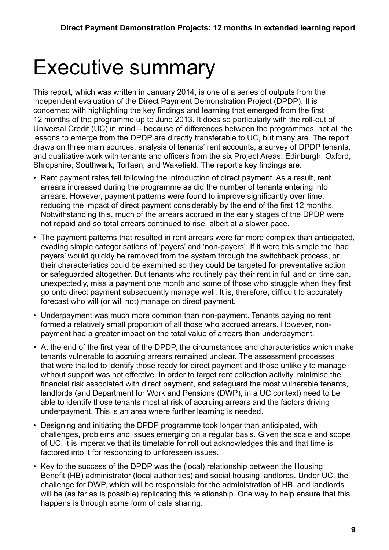## <span id="page-8-0"></span>Executive summary

This report, which was written in January 2014, is one of a series of outputs from the independent evaluation of the Direct Payment Demonstration Project (DPDP). It is concerned with highlighting the key findings and learning that emerged from the first 12 months of the programme up to June 2013. It does so particularly with the roll-out of Universal Credit (UC) in mind – because of differences between the programmes, not all the lessons to emerge from the DPDP are directly transferable to UC, but many are. The report draws on three main sources: analysis of tenants' rent accounts; a survey of DPDP tenants; and qualitative work with tenants and officers from the six Project Areas: Edinburgh; Oxford; Shropshire; Southwark; Torfaen; and Wakefield. The report's key findings are:

- Rent payment rates fell following the introduction of direct payment. As a result, rent arrears increased during the programme as did the number of tenants entering into arrears. However, payment patterns were found to improve significantly over time, reducing the impact of direct payment considerably by the end of the first 12 months. Notwithstanding this, much of the arrears accrued in the early stages of the DPDP were not repaid and so total arrears continued to rise, albeit at a slower pace.
- The payment patterns that resulted in rent arrears were far more complex than anticipated, evading simple categorisations of 'payers' and 'non-payers'. If it were this simple the 'bad payers' would quickly be removed from the system through the switchback process, or their characteristics could be examined so they could be targeted for preventative action or safeguarded altogether. But tenants who routinely pay their rent in full and on time can, unexpectedly, miss a payment one month and some of those who struggle when they first go onto direct payment subsequently manage well. It is, therefore, difficult to accurately forecast who will (or will not) manage on direct payment.
- Underpayment was much more common than non-payment. Tenants paying no rent formed a relatively small proportion of all those who accrued arrears. However, nonpayment had a greater impact on the total value of arrears than underpayment.
- At the end of the first year of the DPDP, the circumstances and characteristics which make tenants vulnerable to accruing arrears remained unclear. The assessment processes that were trialled to identify those ready for direct payment and those unlikely to manage without support was not effective. In order to target rent collection activity, minimise the financial risk associated with direct payment, and safeguard the most vulnerable tenants, landlords (and Department for Work and Pensions (DWP), in a UC context) need to be able to identify those tenants most at risk of accruing arrears and the factors driving underpayment. This is an area where further learning is needed.
- Designing and initiating the DPDP programme took longer than anticipated, with challenges, problems and issues emerging on a regular basis. Given the scale and scope of UC, it is imperative that its timetable for roll out acknowledges this and that time is factored into it for responding to unforeseen issues.
- Key to the success of the DPDP was the (local) relationship between the Housing Benefit (HB) administrator (local authorities) and social housing landlords. Under UC, the challenge for DWP, which will be responsible for the administration of HB, and landlords will be (as far as is possible) replicating this relationship. One way to help ensure that this happens is through some form of data sharing.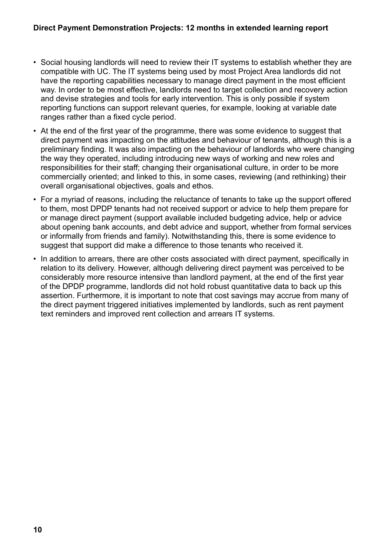- Social housing landlords will need to review their IT systems to establish whether they are compatible with UC. The IT systems being used by most Project Area landlords did not have the reporting capabilities necessary to manage direct payment in the most efficient way. In order to be most effective, landlords need to target collection and recovery action and devise strategies and tools for early intervention. This is only possible if system reporting functions can support relevant queries, for example, looking at variable date ranges rather than a fixed cycle period.
- At the end of the first year of the programme, there was some evidence to suggest that direct payment was impacting on the attitudes and behaviour of tenants, although this is a preliminary finding. It was also impacting on the behaviour of landlords who were changing the way they operated, including introducing new ways of working and new roles and responsibilities for their staff; changing their organisational culture, in order to be more commercially oriented; and linked to this, in some cases, reviewing (and rethinking) their overall organisational objectives, goals and ethos.
- For a myriad of reasons, including the reluctance of tenants to take up the support offered to them, most DPDP tenants had not received support or advice to help them prepare for or manage direct payment (support available included budgeting advice, help or advice about opening bank accounts, and debt advice and support, whether from formal services or informally from friends and family). Notwithstanding this, there is some evidence to suggest that support did make a difference to those tenants who received it.
- In addition to arrears, there are other costs associated with direct payment, specifically in relation to its delivery. However, although delivering direct payment was perceived to be considerably more resource intensive than landlord payment, at the end of the first year of the DPDP programme, landlords did not hold robust quantitative data to back up this assertion. Furthermore, it is important to note that cost savings may accrue from many of the direct payment triggered initiatives implemented by landlords, such as rent payment text reminders and improved rent collection and arrears IT systems.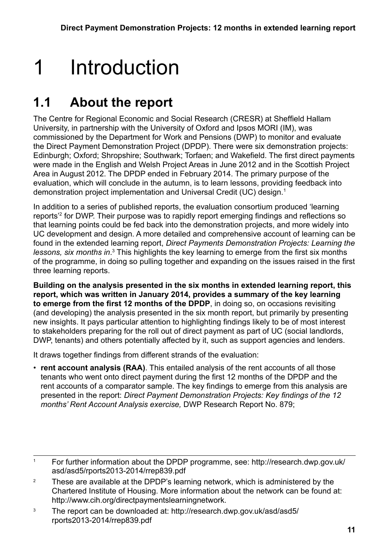## <span id="page-10-0"></span>1 Introduction

## **1.1 About the report**

The Centre for Regional Economic and Social Research (CRESR) at Sheffield Hallam University, in partnership with the University of Oxford and Ipsos MORI (IM), was commissioned by the Department for Work and Pensions (DWP) to monitor and evaluate the Direct Payment Demonstration Project (DPDP). There were six demonstration projects: Edinburgh; Oxford; Shropshire; Southwark; Torfaen; and Wakefield. The first direct payments were made in the English and Welsh Project Areas in June 2012 and in the Scottish Project Area in August 2012. The DPDP ended in February 2014. The primary purpose of the evaluation, which will conclude in the autumn, is to learn lessons, providing feedback into demonstration project implementation and Universal Credit (UC) design.1

In addition to a series of published reports, the evaluation consortium produced 'learning reports'2 for DWP. Their purpose was to rapidly report emerging findings and reflections so that learning points could be fed back into the demonstration projects, and more widely into UC development and design. A more detailed and comprehensive account of learning can be found in the extended learning report, *Direct Payments Demonstration Projects: Learning the*  lessons, six months in.<sup>3</sup> This highlights the key learning to emerge from the first six months of the programme, in doing so pulling together and expanding on the issues raised in the first three learning reports.

**Building on the analysis presented in the six months in extended learning report, this report, which was written in January 2014, provides a summary of the key learning to emerge from the first 12 months of the DPDP**, in doing so, on occasions revisiting (and developing) the analysis presented in the six month report, but primarily by presenting new insights. It pays particular attention to highlighting findings likely to be of most interest to stakeholders preparing for the roll out of direct payment as part of UC (social landlords, DWP, tenants) and others potentially affected by it, such as support agencies and lenders.

It draws together findings from different strands of the evaluation:

• **rent account analysis (RAA)**. This entailed analysis of the rent accounts of all those tenants who went onto direct payment during the first 12 months of the DPDP and the rent accounts of a comparator sample. The key findings to emerge from this analysis are presented in the report: *Direct Payment Demonstration Projects: Key findings of the 12 months' Rent Account Analysis exercise,* DWP Research Report No. 879;

3 The report can be downloaded at: http://research.dwp.gov.uk/asd/asd5/ rports2013-2014/rrep839.pdf

<sup>1</sup> For further information about the DPDP programme, see: http://research.dwp.gov.uk/ asd/asd5/rports2013-2014/rrep839.pdf

<sup>&</sup>lt;sup>2</sup> These are available at the DPDP's learning network, which is administered by the Chartered Institute of Housing. More information about the network can be found at: http://www.cih.org/directpaymentslearningnetwork.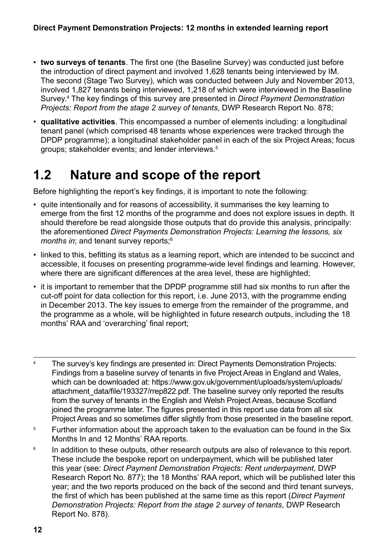- <span id="page-11-0"></span>• **two surveys of tenants**. The first one (the Baseline Survey) was conducted just before the introduction of direct payment and involved 1,628 tenants being interviewed by IM. The second (Stage Two Survey), which was conducted between July and November 2013, involved 1,827 tenants being interviewed, 1,218 of which were interviewed in the Baseline Survey.4 The key findings of this survey are presented in *Direct Payment Demonstration Projects: Report from the stage 2 survey of tenants*, DWP Research Report No. 878;
- **qualitative activities**. This encompassed a number of elements including: a longitudinal tenant panel (which comprised 48 tenants whose experiences were tracked through the DPDP programme); a longitudinal stakeholder panel in each of the six Project Areas; focus groups; stakeholder events; and lender interviews.5

## **1.2 Nature and scope of the report**

Before highlighting the report's key findings, it is important to note the following:

- quite intentionally and for reasons of accessibility, it summarises the key learning to emerge from the first 12 months of the programme and does not explore issues in depth. It should therefore be read alongside those outputs that do provide this analysis, principally: the aforementioned *Direct Payments Demonstration Projects: Learning the lessons, six months in*; and tenant survey reports;<sup>6</sup>
- linked to this, befitting its status as a learning report, which are intended to be succinct and accessible, it focuses on presenting programme-wide level findings and learning. However, where there are significant differences at the area level, these are highlighted;
- it is important to remember that the DPDP programme still had six months to run after the cut-off point for data collection for this report, i.e. June 2013, with the programme ending in December 2013. The key issues to emerge from the remainder of the programme, and the programme as a whole, will be highlighted in future research outputs, including the 18 months' RAA and 'overarching' final report;
- <sup>4</sup> The survey's key findings are presented in: Direct Payments Demonstration Projects: Findings from a baseline survey of tenants in five Project Areas in England and Wales, which can be downloaded at: https://www.gov.uk/government/uploads/system/uploads/ attachment data/file/193327/rrep822.pdf. The baseline survey only reported the results from the survey of tenants in the English and Welsh Project Areas, because Scotland joined the programme later. The figures presented in this report use data from all six Project Areas and so sometimes differ slightly from those presented in the baseline report.
- <sup>5</sup> Further information about the approach taken to the evaluation can be found in the Six Months In and 12 Months' RAA reports.
- <sup>6</sup> In addition to these outputs, other research outputs are also of relevance to this report. These include the bespoke report on underpayment, which will be published later this year (see: *Direct Payment Demonstration Projects: Rent underpayment*, DWP Research Report No. 877); the 18 Months' RAA report, which will be published later this year; and the two reports produced on the back of the second and third tenant surveys, the first of which has been published at the same time as this report (*Direct Payment Demonstration Projects: Report from the stage 2 survey of tenants*, DWP Research Report No. 878).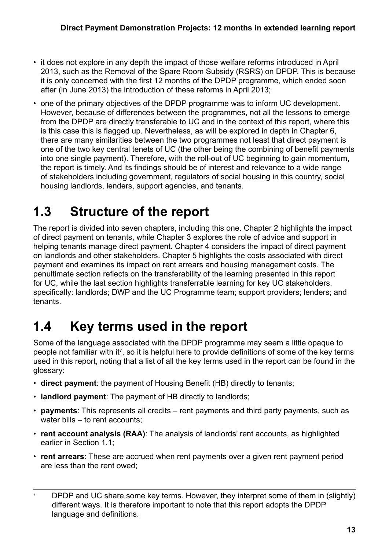- <span id="page-12-0"></span>• it does not explore in any depth the impact of those welfare reforms introduced in April 2013, such as the Removal of the Spare Room Subsidy (RSRS) on DPDP. This is because it is only concerned with the first 12 months of the DPDP programme, which ended soon after (in June 2013) the introduction of these reforms in April 2013;
- one of the primary objectives of the DPDP programme was to inform UC development. However, because of differences between the programmes, not all the lessons to emerge from the DPDP are directly transferable to UC and in the context of this report, where this is this case this is flagged up. Nevertheless, as will be explored in depth in Chapter 6, there are many similarities between the two programmes not least that direct payment is one of the two key central tenets of UC (the other being the combining of benefit payments into one single payment). Therefore, with the roll-out of UC beginning to gain momentum, the report is timely. And its findings should be of interest and relevance to a wide range of stakeholders including government, regulators of social housing in this country, social housing landlords, lenders, support agencies, and tenants.

## **1.3 Structure of the report**

The report is divided into seven chapters, including this one. Chapter 2 highlights the impact of direct payment on tenants, while Chapter 3 explores the role of advice and support in helping tenants manage direct payment. Chapter 4 considers the impact of direct payment on landlords and other stakeholders. Chapter 5 highlights the costs associated with direct payment and examines its impact on rent arrears and housing management costs. The penultimate section reflects on the transferability of the learning presented in this report for UC, while the last section highlights transferrable learning for key UC stakeholders, specifically: landlords; DWP and the UC Programme team; support providers; lenders; and tenants.

## **1.4 Key terms used in the report**

Some of the language associated with the DPDP programme may seem a little opaque to people not familiar with it<sup>7</sup>, so it is helpful here to provide definitions of some of the key terms used in this report, noting that a list of all the key terms used in the report can be found in the glossary:

- **direct payment**: the payment of Housing Benefit (HB) directly to tenants;
- **landlord payment**: The payment of HB directly to landlords;
- **payments**: This represents all credits rent payments and third party payments, such as water bills – to rent accounts:
- **rent account analysis (RAA)**: The analysis of landlords' rent accounts, as highlighted earlier in Section 1.1;
- **rent arrears**: These are accrued when rent payments over a given rent payment period are less than the rent owed;

<sup>&</sup>lt;sup>7</sup> DPDP and UC share some key terms. However, they interpret some of them in (slightly) different ways. It is therefore important to note that this report adopts the DPDP language and definitions.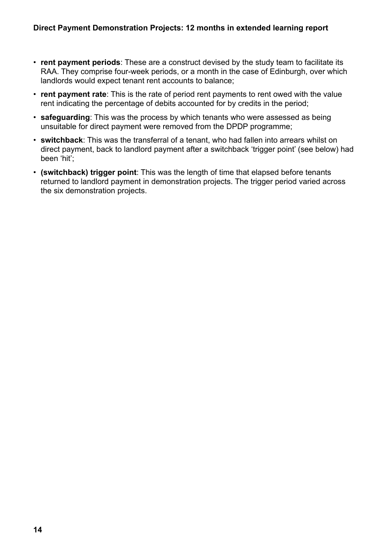- **rent payment periods**: These are a construct devised by the study team to facilitate its RAA. They comprise four-week periods, or a month in the case of Edinburgh, over which landlords would expect tenant rent accounts to balance;
- **rent payment rate**: This is the rate of period rent payments to rent owed with the value rent indicating the percentage of debits accounted for by credits in the period;
- **safeguarding**: This was the process by which tenants who were assessed as being unsuitable for direct payment were removed from the DPDP programme;
- **switchback**: This was the transferral of a tenant, who had fallen into arrears whilst on direct payment, back to landlord payment after a switchback 'trigger point' (see below) had been 'hit';
- **(switchback) trigger point**: This was the length of time that elapsed before tenants returned to landlord payment in demonstration projects. The trigger period varied across the six demonstration projects.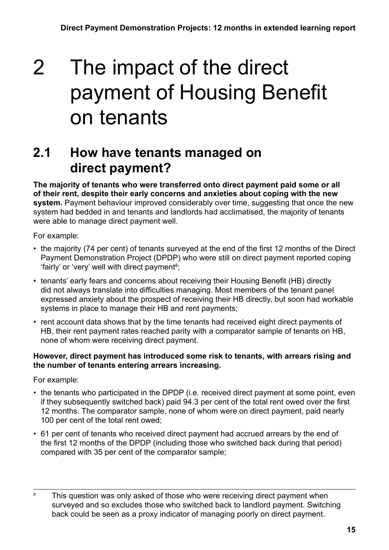## <span id="page-14-0"></span>2 The impact of the direct payment of Housing Benefit on tenants

## **2.1 How have tenants managed on direct payment?**

**The majority of tenants who were transferred onto direct payment paid some or all of their rent, despite their early concerns and anxieties about coping with the new system.** Payment behaviour improved considerably over time, suggesting that once the new system had bedded in and tenants and landlords had acclimatised, the majority of tenants were able to manage direct payment well.

For example:

- the majority (74 per cent) of tenants surveyed at the end of the first 12 months of the Direct Payment Demonstration Project (DPDP) who were still on direct payment reported coping 'fairly' or 'very' well with direct payment<sup>8</sup>;
- tenants' early fears and concerns about receiving their Housing Benefit (HB) directly did not always translate into difficulties managing. Most members of the tenant panel expressed anxiety about the prospect of receiving their HB directly, but soon had workable systems in place to manage their HB and rent payments;
- rent account data shows that by the time tenants had received eight direct payments of HB, their rent payment rates reached parity with a comparator sample of tenants on HB, none of whom were receiving direct payment.

#### **However, direct payment has introduced some risk to tenants, with arrears rising and the number of tenants entering arrears increasing.**

For example:

- the tenants who participated in the DPDP (i.e. received direct payment at some point, even if they subsequently switched back) paid 94.3 per cent of the total rent owed over the first 12 months. The comparator sample, none of whom were on direct payment, paid nearly 100 per cent of the total rent owed;
- 61 per cent of tenants who received direct payment had accrued arrears by the end of the first 12 months of the DPDP (including those who switched back during that period) compared with 35 per cent of the comparator sample;

<sup>&</sup>lt;sup>8</sup> This question was only asked of those who were receiving direct payment when surveyed and so excludes those who switched back to landlord payment. Switching back could be seen as a proxy indicator of managing poorly on direct payment.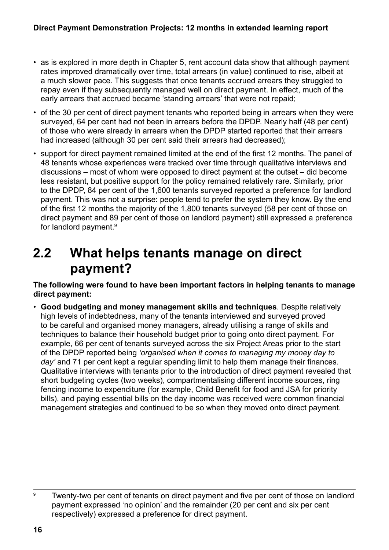- <span id="page-15-0"></span>• as is explored in more depth in Chapter 5, rent account data show that although payment rates improved dramatically over time, total arrears (in value) continued to rise, albeit at a much slower pace. This suggests that once tenants accrued arrears they struggled to repay even if they subsequently managed well on direct payment. In effect, much of the early arrears that accrued became 'standing arrears' that were not repaid;
- of the 30 per cent of direct payment tenants who reported being in arrears when they were surveyed, 64 per cent had not been in arrears before the DPDP. Nearly half (48 per cent) of those who were already in arrears when the DPDP started reported that their arrears had increased (although 30 per cent said their arrears had decreased);
- support for direct payment remained limited at the end of the first 12 months. The panel of 48 tenants whose experiences were tracked over time through qualitative interviews and discussions – most of whom were opposed to direct payment at the outset – did become less resistant, but positive support for the policy remained relatively rare. Similarly, prior to the DPDP, 84 per cent of the 1,600 tenants surveyed reported a preference for landlord payment. This was not a surprise: people tend to prefer the system they know. By the end of the first 12 months the majority of the 1,800 tenants surveyed (58 per cent of those on direct payment and 89 per cent of those on landlord payment) still expressed a preference for landlord payment.9

### **2.2 What helps tenants manage on direct payment?**

**The following were found to have been important factors in helping tenants to manage direct payment:**

• **Good budgeting and money management skills and techniques**. Despite relatively high levels of indebtedness, many of the tenants interviewed and surveyed proved to be careful and organised money managers, already utilising a range of skills and techniques to balance their household budget prior to going onto direct payment. For example, 66 per cent of tenants surveyed across the six Project Areas prior to the start of the DPDP reported being *'organised when it comes to managing my money day to day'* and 71 per cent kept a regular spending limit to help them manage their finances. Qualitative interviews with tenants prior to the introduction of direct payment revealed that short budgeting cycles (two weeks), compartmentalising different income sources, ring fencing income to expenditure (for example, Child Benefit for food and JSA for priority bills), and paying essential bills on the day income was received were common financial management strategies and continued to be so when they moved onto direct payment.

<sup>&</sup>lt;sup>9</sup> Twenty-two per cent of tenants on direct payment and five per cent of those on landlord payment expressed 'no opinion' and the remainder (20 per cent and six per cent respectively) expressed a preference for direct payment.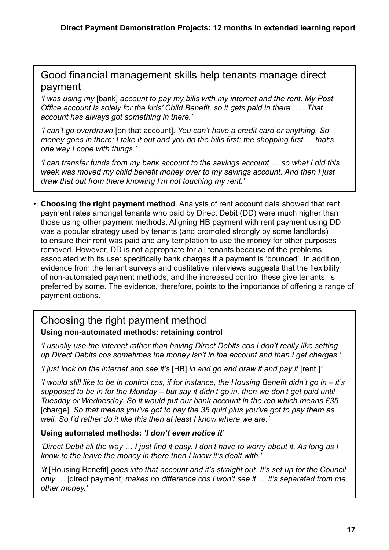#### Good financial management skills help tenants manage direct payment

*'I was using my* [bank] *account to pay my bills with my internet and the rent. My Post Office account is solely for the kids' Child Benefit, so it gets paid in there … . That account has always got something in there.'*

*'I can't go overdrawn* [on that account]*. You can't have a credit card or anything. So money goes in there; I take it out and you do the bills first; the shopping first … that's one way I cope with things.'*

*'I can transfer funds from my bank account to the savings account … so what I did this week was moved my child benefit money over to my savings account. And then I just draw that out from there knowing I'm not touching my rent.'*

• **Choosing the right payment method**. Analysis of rent account data showed that rent payment rates amongst tenants who paid by Direct Debit (DD) were much higher than those using other payment methods. Aligning HB payment with rent payment using DD was a popular strategy used by tenants (and promoted strongly by some landlords) to ensure their rent was paid and any temptation to use the money for other purposes removed. However, DD is not appropriate for all tenants because of the problems associated with its use: specifically bank charges if a payment is 'bounced'. In addition, evidence from the tenant surveys and qualitative interviews suggests that the flexibility of non-automated payment methods, and the increased control these give tenants, is preferred by some. The evidence, therefore, points to the importance of offering a range of payment options.

#### Choosing the right payment method **Using non-automated methods: retaining control**

*'I usually use the internet rather than having Direct Debits cos I don't really like setting up Direct Debits cos sometimes the money isn't in the account and then I get charges.'*

*'I just look on the internet and see it's* [HB] *in and go and draw it and pay it* [rent.]*'*

*'I would still like to be in control cos, if for instance, the Housing Benefit didn't go in – it's supposed to be in for the Monday – but say it didn't go in, then we don't get paid until Tuesday or Wednesday. So it would put our bank account in the red which means £35*  [charge]*. So that means you've got to pay the 35 quid plus you've got to pay them as well. So I'd rather do it like this then at least I know where we are.'*

#### **Using automated methods:** *'I don't even notice it'*

*'Direct Debit all the way … I just find it easy. I don't have to worry about it. As long as I know to the leave the money in there then I know it's dealt with.'*

*'It* [Housing Benefit] *goes into that account and it's straight out. It's set up for the Council only …* [direct payment] *makes no difference cos I won't see it … it's separated from me other money.'*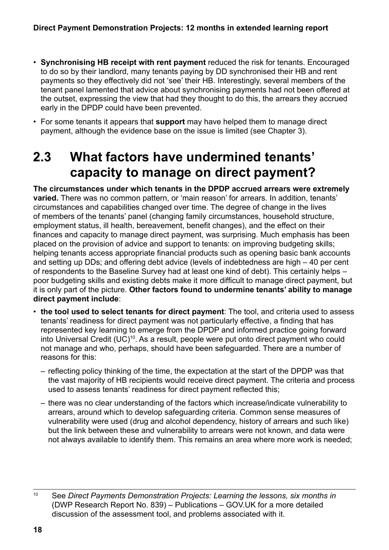- <span id="page-17-0"></span>• **Synchronising HB receipt with rent payment** reduced the risk for tenants. Encouraged to do so by their landlord, many tenants paying by DD synchronised their HB and rent payments so they effectively did not 'see' their HB. Interestingly, several members of the tenant panel lamented that advice about synchronising payments had not been offered at the outset, expressing the view that had they thought to do this, the arrears they accrued early in the DPDP could have been prevented.
- For some tenants it appears that **support** may have helped them to manage direct payment, although the evidence base on the issue is limited (see Chapter 3).

## **2.3 What factors have undermined tenants' capacity to manage on direct payment?**

**The circumstances under which tenants in the DPDP accrued arrears were extremely varied.** There was no common pattern, or 'main reason' for arrears. In addition, tenants' circumstances and capabilities changed over time. The degree of change in the lives of members of the tenants' panel (changing family circumstances, household structure, employment status, ill health, bereavement, benefit changes), and the effect on their finances and capacity to manage direct payment, was surprising. Much emphasis has been placed on the provision of advice and support to tenants: on improving budgeting skills; helping tenants access appropriate financial products such as opening basic bank accounts and setting up DDs; and offering debt advice (levels of indebtedness are high – 40 per cent of respondents to the Baseline Survey had at least one kind of debt). This certainly helps – poor budgeting skills and existing debts make it more difficult to manage direct payment, but it is only part of the picture. **Other factors found to undermine tenants' ability to manage direct payment include**:

- **the tool used to select tenants for direct payment**: The tool, and criteria used to assess tenants' readiness for direct payment was not particularly effective, a finding that has represented key learning to emerge from the DPDP and informed practice going forward into Universal Credit (UC)<sup>10</sup>. As a result, people were put onto direct payment who could not manage and who, perhaps, should have been safeguarded. There are a number of reasons for this:
	- reflecting policy thinking of the time, the expectation at the start of the DPDP was that the vast majority of HB recipients would receive direct payment. The criteria and process used to assess tenants' readiness for direct payment reflected this;
	- there was no clear understanding of the factors which increase/indicate vulnerability to arrears, around which to develop safeguarding criteria. Common sense measures of vulnerability were used (drug and alcohol dependency, history of arrears and such like) but the link between these and vulnerability to arrears were not known, and data were not always available to identify them. This remains an area where more work is needed;

<sup>10</sup> See *Direct Payments Demonstration Projects: Learning the lessons, six months in* (DWP Research Report No. 839) – Publications – GOV.UK for a more detailed discussion of the assessment tool, and problems associated with it.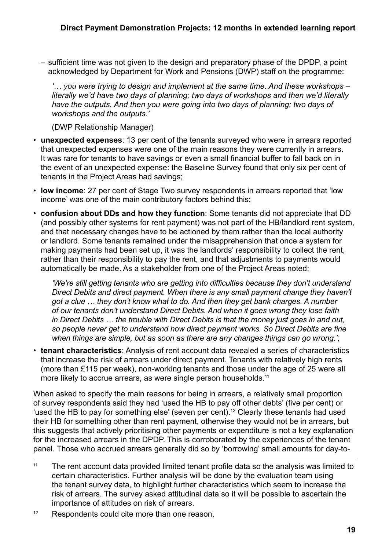– sufficient time was not given to the design and preparatory phase of the DPDP, a point acknowledged by Department for Work and Pensions (DWP) staff on the programme:

*'… you were trying to design and implement at the same time. And these workshops – literally we'd have two days of planning; two days of workshops and then we'd literally have the outputs. And then you were going into two days of planning; two days of workshops and the outputs.'*

(DWP Relationship Manager)

- **unexpected expenses**: 13 per cent of the tenants surveyed who were in arrears reported that unexpected expenses were one of the main reasons they were currently in arrears. It was rare for tenants to have savings or even a small financial buffer to fall back on in the event of an unexpected expense: the Baseline Survey found that only six per cent of tenants in the Project Areas had savings;
- **low income**: 27 per cent of Stage Two survey respondents in arrears reported that 'low income' was one of the main contributory factors behind this;
- **confusion about DDs and how they function**: Some tenants did not appreciate that DD (and possibly other systems for rent payment) was not part of the HB/landlord rent system, and that necessary changes have to be actioned by them rather than the local authority or landlord. Some tenants remained under the misapprehension that once a system for making payments had been set up, it was the landlords' responsibility to collect the rent, rather than their responsibility to pay the rent, and that adjustments to payments would automatically be made. As a stakeholder from one of the Project Areas noted:

*'We're still getting tenants who are getting into difficulties because they don't understand Direct Debits and direct payment. When there is any small payment change they haven't got a clue … they don't know what to do. And then they get bank charges. A number of our tenants don't understand Direct Debits. And when it goes wrong they lose faith in Direct Debits … the trouble with Direct Debits is that the money just goes in and out, so people never get to understand how direct payment works. So Direct Debits are fine when things are simple, but as soon as there are any changes things can go wrong.'*;

• **tenant characteristics**: Analysis of rent account data revealed a series of characteristics that increase the risk of arrears under direct payment. Tenants with relatively high rents (more than £115 per week), non-working tenants and those under the age of 25 were all more likely to accrue arrears, as were single person households.<sup>11</sup>

When asked to specify the main reasons for being in arrears, a relatively small proportion of survey respondents said they had 'used the HB to pay off other debts' (five per cent) or 'used the HB to pay for something else' (seven per cent).<sup>12</sup> Clearly these tenants had used their HB for something other than rent payment, otherwise they would not be in arrears, but this suggests that actively prioritising other payments or expenditure is not a key explanation for the increased arrears in the DPDP. This is corroborated by the experiences of the tenant panel. Those who accrued arrears generally did so by 'borrowing' small amounts for day-to-

<sup>12</sup> Respondents could cite more than one reason.

<sup>&</sup>lt;sup>11</sup> The rent account data provided limited tenant profile data so the analysis was limited to certain characteristics. Further analysis will be done by the evaluation team using the tenant survey data, to highlight further characteristics which seem to increase the risk of arrears. The survey asked attitudinal data so it will be possible to ascertain the importance of attitudes on risk of arrears.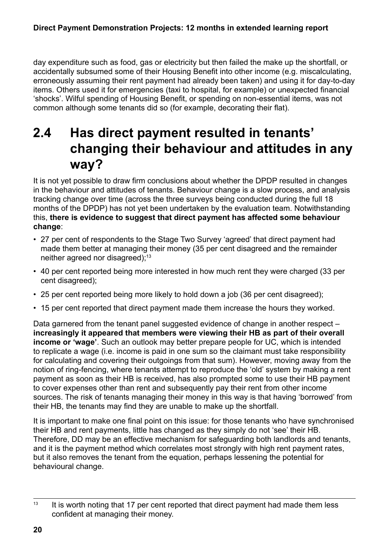<span id="page-19-0"></span>day expenditure such as food, gas or electricity but then failed the make up the shortfall, or accidentally subsumed some of their Housing Benefit into other income (e.g. miscalculating, erroneously assuming their rent payment had already been taken) and using it for day-to-day items. Others used it for emergencies (taxi to hospital, for example) or unexpected financial 'shocks'. Wilful spending of Housing Benefit, or spending on non-essential items, was not common although some tenants did so (for example, decorating their flat).

## **2.4 Has direct payment resulted in tenants' changing their behaviour and attitudes in any way?**

It is not yet possible to draw firm conclusions about whether the DPDP resulted in changes in the behaviour and attitudes of tenants. Behaviour change is a slow process, and analysis tracking change over time (across the three surveys being conducted during the full 18 months of the DPDP) has not yet been undertaken by the evaluation team. Notwithstanding this, **there is evidence to suggest that direct payment has affected some behaviour change**:

- 27 per cent of respondents to the Stage Two Survey 'agreed' that direct payment had made them better at managing their money (35 per cent disagreed and the remainder neither agreed nor disagreed);<sup>13</sup>
- 40 per cent reported being more interested in how much rent they were charged (33 per cent disagreed);
- 25 per cent reported being more likely to hold down a job (36 per cent disagreed);
- 15 per cent reported that direct payment made them increase the hours they worked.

Data garnered from the tenant panel suggested evidence of change in another respect – **increasingly it appeared that members were viewing their HB as part of their overall income or 'wage'**. Such an outlook may better prepare people for UC, which is intended to replicate a wage (i.e. income is paid in one sum so the claimant must take responsibility for calculating and covering their outgoings from that sum). However, moving away from the notion of ring-fencing, where tenants attempt to reproduce the 'old' system by making a rent payment as soon as their HB is received, has also prompted some to use their HB payment to cover expenses other than rent and subsequently pay their rent from other income sources. The risk of tenants managing their money in this way is that having 'borrowed' from their HB, the tenants may find they are unable to make up the shortfall.

It is important to make one final point on this issue: for those tenants who have synchronised their HB and rent payments, little has changed as they simply do not 'see' their HB. Therefore, DD may be an effective mechanism for safeguarding both landlords and tenants, and it is the payment method which correlates most strongly with high rent payment rates, but it also removes the tenant from the equation, perhaps lessening the potential for behavioural change.

 $13$  It is worth noting that 17 per cent reported that direct payment had made them less confident at managing their money.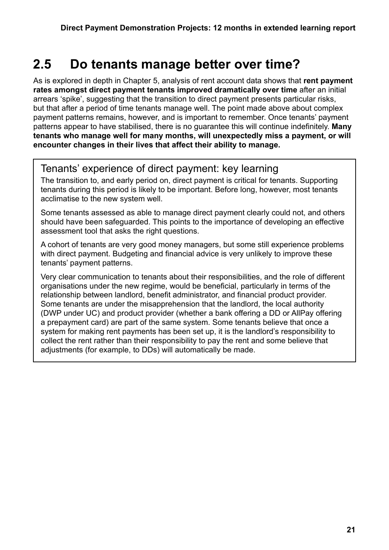### <span id="page-20-0"></span>**2.5 Do tenants manage better over time?**

As is explored in depth in Chapter 5, analysis of rent account data shows that **rent payment rates amongst direct payment tenants improved dramatically over time** after an initial arrears 'spike', suggesting that the transition to direct payment presents particular risks, but that after a period of time tenants manage well. The point made above about complex payment patterns remains, however, and is important to remember. Once tenants' payment patterns appear to have stabilised, there is no guarantee this will continue indefinitely. **Many tenants who manage well for many months, will unexpectedly miss a payment, or will encounter changes in their lives that affect their ability to manage.**

#### Tenants' experience of direct payment: key learning

The transition to, and early period on, direct payment is critical for tenants. Supporting tenants during this period is likely to be important. Before long, however, most tenants acclimatise to the new system well.

Some tenants assessed as able to manage direct payment clearly could not, and others should have been safeguarded. This points to the importance of developing an effective assessment tool that asks the right questions.

A cohort of tenants are very good money managers, but some still experience problems with direct payment. Budgeting and financial advice is very unlikely to improve these tenants' payment patterns.

Very clear communication to tenants about their responsibilities, and the role of different organisations under the new regime, would be beneficial, particularly in terms of the relationship between landlord, benefit administrator, and financial product provider. Some tenants are under the misapprehension that the landlord, the local authority (DWP under UC) and product provider (whether a bank offering a DD or AllPay offering a prepayment card) are part of the same system. Some tenants believe that once a system for making rent payments has been set up, it is the landlord's responsibility to collect the rent rather than their responsibility to pay the rent and some believe that adjustments (for example, to DDs) will automatically be made.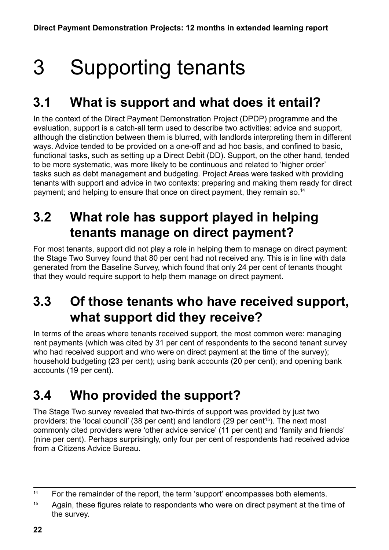## <span id="page-21-0"></span>3 Supporting tenants

## **3.1 What is support and what does it entail?**

In the context of the Direct Payment Demonstration Project (DPDP) programme and the evaluation, support is a catch-all term used to describe two activities: advice and support, although the distinction between them is blurred, with landlords interpreting them in different ways. Advice tended to be provided on a one-off and ad hoc basis, and confined to basic, functional tasks, such as setting up a Direct Debit (DD). Support, on the other hand, tended to be more systematic, was more likely to be continuous and related to 'higher order' tasks such as debt management and budgeting. Project Areas were tasked with providing tenants with support and advice in two contexts: preparing and making them ready for direct payment; and helping to ensure that once on direct payment, they remain so.<sup>14</sup>

## **3.2 What role has support played in helping tenants manage on direct payment?**

For most tenants, support did not play a role in helping them to manage on direct payment: the Stage Two Survey found that 80 per cent had not received any. This is in line with data generated from the Baseline Survey, which found that only 24 per cent of tenants thought that they would require support to help them manage on direct payment.

## **3.3 Of those tenants who have received support, what support did they receive?**

In terms of the areas where tenants received support, the most common were: managing rent payments (which was cited by 31 per cent of respondents to the second tenant survey who had received support and who were on direct payment at the time of the survey); household budgeting (23 per cent); using bank accounts (20 per cent); and opening bank accounts (19 per cent).

## **3.4 Who provided the support?**

The Stage Two survey revealed that two-thirds of support was provided by just two providers: the 'local council' (38 per cent) and landlord (29 per cent<sup>15</sup>). The next most commonly cited providers were 'other advice service' (11 per cent) and 'family and friends' (nine per cent). Perhaps surprisingly, only four per cent of respondents had received advice from a Citizens Advice Bureau.

<sup>&</sup>lt;sup>14</sup> For the remainder of the report, the term 'support' encompasses both elements.

<sup>&</sup>lt;sup>15</sup> Again, these figures relate to respondents who were on direct payment at the time of the survey.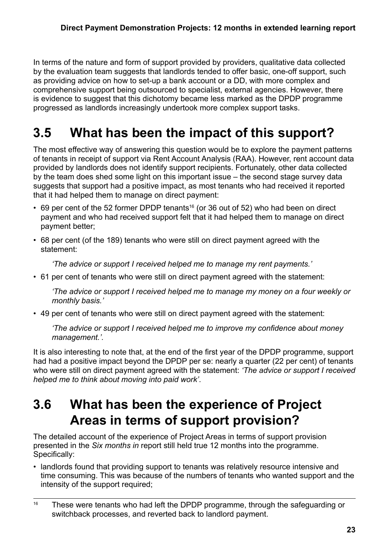<span id="page-22-0"></span>In terms of the nature and form of support provided by providers, qualitative data collected by the evaluation team suggests that landlords tended to offer basic, one-off support, such as providing advice on how to set-up a bank account or a DD, with more complex and comprehensive support being outsourced to specialist, external agencies. However, there is evidence to suggest that this dichotomy became less marked as the DPDP programme progressed as landlords increasingly undertook more complex support tasks.

## **3.5 What has been the impact of this support?**

The most effective way of answering this question would be to explore the payment patterns of tenants in receipt of support via Rent Account Analysis (RAA). However, rent account data provided by landlords does not identify support recipients. Fortunately, other data collected by the team does shed some light on this important issue – the second stage survey data suggests that support had a positive impact, as most tenants who had received it reported that it had helped them to manage on direct payment:

- $\cdot$  69 per cent of the 52 former DPDP tenants<sup>16</sup> (or 36 out of 52) who had been on direct payment and who had received support felt that it had helped them to manage on direct payment better;
- 68 per cent (of the 189) tenants who were still on direct payment agreed with the statement:

*'The advice or support I received helped me to manage my rent payments.'*

• 61 per cent of tenants who were still on direct payment agreed with the statement:

*'The advice or support I received helped me to manage my money on a four weekly or monthly basis.'*

• 49 per cent of tenants who were still on direct payment agreed with the statement:

*'The advice or support I received helped me to improve my confidence about money management.'.*

It is also interesting to note that, at the end of the first year of the DPDP programme, support had had a positive impact beyond the DPDP per se: nearly a quarter (22 per cent) of tenants who were still on direct payment agreed with the statement: *'The advice or support I received helped me to think about moving into paid work'*.

## **3.6 What has been the experience of Project Areas in terms of support provision?**

The detailed account of the experience of Project Areas in terms of support provision presented in the *Six months in* report still held true 12 months into the programme. Specifically:

• landlords found that providing support to tenants was relatively resource intensive and time consuming. This was because of the numbers of tenants who wanted support and the intensity of the support required;

<sup>&</sup>lt;sup>16</sup> These were tenants who had left the DPDP programme, through the safeguarding or switchback processes, and reverted back to landlord payment.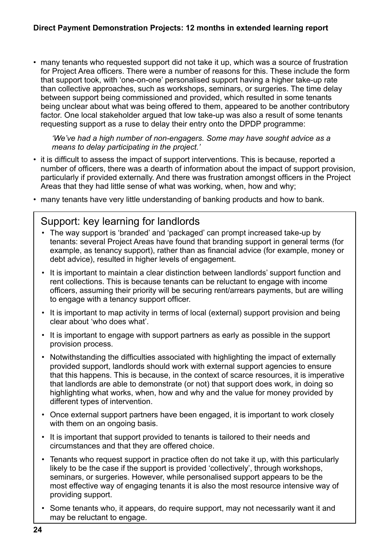#### **Direct Payment Demonstration Projects: 12 months in extended learning report**

• many tenants who requested support did not take it up, which was a source of frustration for Project Area officers. There were a number of reasons for this. These include the form that support took, with 'one-on-one' personalised support having a higher take-up rate than collective approaches, such as workshops, seminars, or surgeries. The time delay between support being commissioned and provided, which resulted in some tenants being unclear about what was being offered to them, appeared to be another contributory factor. One local stakeholder argued that low take-up was also a result of some tenants requesting support as a ruse to delay their entry onto the DPDP programme:

*'We've had a high number of non-engagers. Some may have sought advice as a means to delay participating in the project.'*

- it is difficult to assess the impact of support interventions. This is because, reported a number of officers, there was a dearth of information about the impact of support provision, particularly if provided externally. And there was frustration amongst officers in the Project Areas that they had little sense of what was working, when, how and why;
- many tenants have very little understanding of banking products and how to bank.

#### Support: key learning for landlords

- The way support is 'branded' and 'packaged' can prompt increased take-up by tenants: several Project Areas have found that branding support in general terms (for example, as tenancy support), rather than as financial advice (for example, money or debt advice), resulted in higher levels of engagement.
- It is important to maintain a clear distinction between landlords' support function and rent collections. This is because tenants can be reluctant to engage with income officers, assuming their priority will be securing rent/arrears payments, but are willing to engage with a tenancy support officer.
- It is important to map activity in terms of local (external) support provision and being clear about 'who does what'.
- It is important to engage with support partners as early as possible in the support provision process.
- Notwithstanding the difficulties associated with highlighting the impact of externally provided support, landlords should work with external support agencies to ensure that this happens. This is because, in the context of scarce resources, it is imperative that landlords are able to demonstrate (or not) that support does work, in doing so highlighting what works, when, how and why and the value for money provided by different types of intervention.
- Once external support partners have been engaged, it is important to work closely with them on an ongoing basis.
- It is important that support provided to tenants is tailored to their needs and circumstances and that they are offered choice.
- Tenants who request support in practice often do not take it up, with this particularly likely to be the case if the support is provided 'collectively', through workshops, seminars, or surgeries. However, while personalised support appears to be the most effective way of engaging tenants it is also the most resource intensive way of providing support.
- Some tenants who, it appears, do require support, may not necessarily want it and may be reluctant to engage.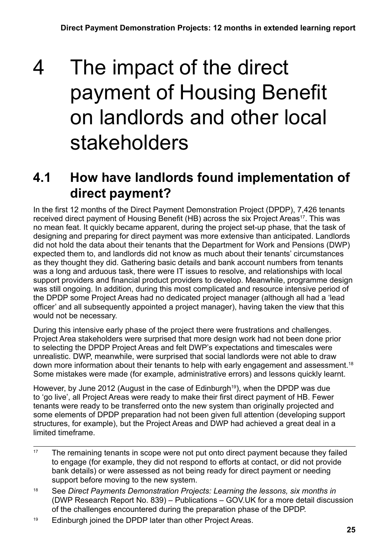## <span id="page-24-0"></span>4 The impact of the direct payment of Housing Benefit on landlords and other local stakeholders

## **4.1 How have landlords found implementation of direct payment?**

In the first 12 months of the Direct Payment Demonstration Project (DPDP), 7,426 tenants received direct payment of Housing Benefit (HB) across the six Project Areas<sup>17</sup>. This was no mean feat. It quickly became apparent, during the project set-up phase, that the task of designing and preparing for direct payment was more extensive than anticipated. Landlords did not hold the data about their tenants that the Department for Work and Pensions (DWP) expected them to, and landlords did not know as much about their tenants' circumstances as they thought they did. Gathering basic details and bank account numbers from tenants was a long and arduous task, there were IT issues to resolve, and relationships with local support providers and financial product providers to develop. Meanwhile, programme design was still ongoing. In addition, during this most complicated and resource intensive period of the DPDP some Project Areas had no dedicated project manager (although all had a 'lead officer' and all subsequently appointed a project manager), having taken the view that this would not be necessary.

During this intensive early phase of the project there were frustrations and challenges. Project Area stakeholders were surprised that more design work had not been done prior to selecting the DPDP Project Areas and felt DWP's expectations and timescales were unrealistic. DWP, meanwhile, were surprised that social landlords were not able to draw down more information about their tenants to help with early engagement and assessment.<sup>18</sup> Some mistakes were made (for example, administrative errors) and lessons quickly learnt.

However, by June 2012 (August in the case of Edinburgh<sup>19</sup>), when the DPDP was due to 'go live', all Project Areas were ready to make their first direct payment of HB. Fewer tenants were ready to be transferred onto the new system than originally projected and some elements of DPDP preparation had not been given full attention (developing support structures, for example), but the Project Areas and DWP had achieved a great deal in a limited timeframe.

- <sup>17</sup> The remaining tenants in scope were not put onto direct payment because they failed to engage (for example, they did not respond to efforts at contact, or did not provide bank details) or were assessed as not being ready for direct payment or needing support before moving to the new system.
- <sup>18</sup> See *Direct Payments Demonstration Projects: Learning the lessons, six months in* (DWP Research Report No. 839) – Publications – GOV.UK for a more detail discussion of the challenges encountered during the preparation phase of the DPDP.
- <sup>19</sup> Edinburgh joined the DPDP later than other Project Areas.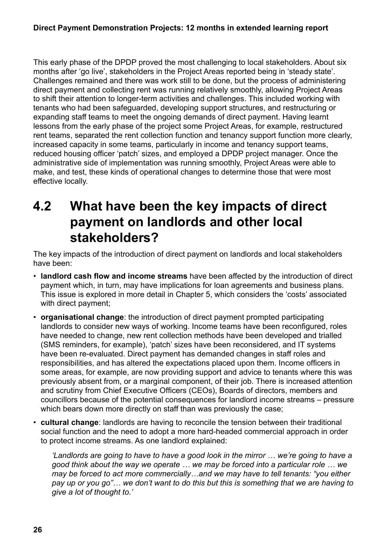<span id="page-25-0"></span>This early phase of the DPDP proved the most challenging to local stakeholders. About six months after 'go live', stakeholders in the Project Areas reported being in 'steady state'. Challenges remained and there was work still to be done, but the process of administering direct payment and collecting rent was running relatively smoothly, allowing Project Areas to shift their attention to longer-term activities and challenges. This included working with tenants who had been safeguarded, developing support structures, and restructuring or expanding staff teams to meet the ongoing demands of direct payment. Having learnt lessons from the early phase of the project some Project Areas, for example, restructured rent teams, separated the rent collection function and tenancy support function more clearly, increased capacity in some teams, particularly in income and tenancy support teams, reduced housing officer 'patch' sizes, and employed a DPDP project manager. Once the administrative side of implementation was running smoothly, Project Areas were able to make, and test, these kinds of operational changes to determine those that were most effective locally.

## **4.2 What have been the key impacts of direct payment on landlords and other local stakeholders?**

The key impacts of the introduction of direct payment on landlords and local stakeholders have been:

- **landlord cash flow and income streams** have been affected by the introduction of direct payment which, in turn, may have implications for loan agreements and business plans. This issue is explored in more detail in Chapter 5, which considers the 'costs' associated with direct payment;
- **organisational change**: the introduction of direct payment prompted participating landlords to consider new ways of working. Income teams have been reconfigured, roles have needed to change, new rent collection methods have been developed and trialled (SMS reminders, for example), 'patch' sizes have been reconsidered, and IT systems have been re-evaluated. Direct payment has demanded changes in staff roles and responsibilities, and has altered the expectations placed upon them. Income officers in some areas, for example, are now providing support and advice to tenants where this was previously absent from, or a marginal component, of their job. There is increased attention and scrutiny from Chief Executive Officers (CEOs), Boards of directors, members and councillors because of the potential consequences for landlord income streams – pressure which bears down more directly on staff than was previously the case;
- **cultural change**: landlords are having to reconcile the tension between their traditional social function and the need to adopt a more hard-headed commercial approach in order to protect income streams. As one landlord explained:

*'Landlords are going to have to have a good look in the mirror … we're going to have a good think about the way we operate … we may be forced into a particular role … we may be forced to act more commercially…and we may have to tell tenants: "you either pay up or you go"… we don't want to do this but this is something that we are having to give a lot of thought to.'*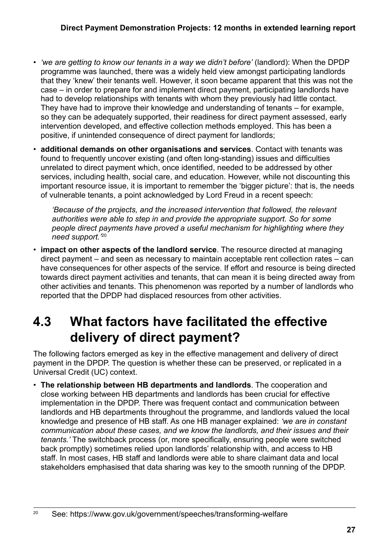- <span id="page-26-0"></span>• *'we are getting to know our tenants in a way we didn't before'* (landlord): When the DPDP programme was launched, there was a widely held view amongst participating landlords that they 'knew' their tenants well. However, it soon became apparent that this was not the case – in order to prepare for and implement direct payment, participating landlords have had to develop relationships with tenants with whom they previously had little contact. They have had to improve their knowledge and understanding of tenants – for example, so they can be adequately supported, their readiness for direct payment assessed, early intervention developed, and effective collection methods employed. This has been a positive, if unintended consequence of direct payment for landlords;
- **additional demands on other organisations and services**. Contact with tenants was found to frequently uncover existing (and often long-standing) issues and difficulties unrelated to direct payment which, once identified, needed to be addressed by other services, including health, social care, and education. However, while not discounting this important resource issue, it is important to remember the 'bigger picture': that is, the needs of vulnerable tenants, a point acknowledged by Lord Freud in a recent speech:

*'Because of the projects, and the increased intervention that followed, the relevant authorities were able to step in and provide the appropriate support. So for some people direct payments have proved a useful mechanism for highlighting where they need support.'*<sup>20</sup>

• **impact on other aspects of the landlord service**. The resource directed at managing direct payment – and seen as necessary to maintain acceptable rent collection rates – can have consequences for other aspects of the service. If effort and resource is being directed towards direct payment activities and tenants, that can mean it is being directed away from other activities and tenants. This phenomenon was reported by a number of landlords who reported that the DPDP had displaced resources from other activities.

## **4.3 What factors have facilitated the effective delivery of direct payment?**

The following factors emerged as key in the effective management and delivery of direct payment in the DPDP. The question is whether these can be preserved, or replicated in a Universal Credit (UC) context.

• **The relationship between HB departments and landlords**. The cooperation and close working between HB departments and landlords has been crucial for effective implementation in the DPDP. There was frequent contact and communication between landlords and HB departments throughout the programme, and landlords valued the local knowledge and presence of HB staff. As one HB manager explained: *'we are in constant communication about these cases, and we know the landlords, and their issues and their tenants.'* The switchback process (or, more specifically, ensuring people were switched back promptly) sometimes relied upon landlords' relationship with, and access to HB staff. In most cases, HB staff and landlords were able to share claimant data and local stakeholders emphasised that data sharing was key to the smooth running of the DPDP.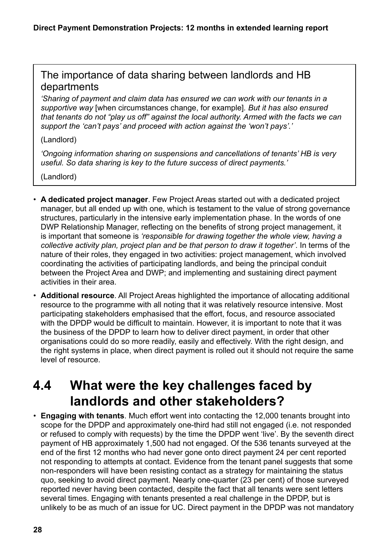#### <span id="page-27-0"></span>The importance of data sharing between landlords and HB departments

*'Sharing of payment and claim data has ensured we can work with our tenants in a supportive way* [when circumstances change, for example]*. But it has also ensured that tenants do not "play us off" against the local authority. Armed with the facts we can support the 'can't pays' and proceed with action against the 'won't pays'.'*

#### (Landlord)

*'Ongoing information sharing on suspensions and cancellations of tenants' HB is very useful. So data sharing is key to the future success of direct payments.'*

(Landlord)

- **A dedicated project manager**. Few Project Areas started out with a dedicated project manager, but all ended up with one, which is testament to the value of strong governance structures, particularly in the intensive early implementation phase. In the words of one DWP Relationship Manager, reflecting on the benefits of strong project management, it is important that someone is *'responsible for drawing together the whole view, having a collective activity plan, project plan and be that person to draw it together'*. In terms of the nature of their roles, they engaged in two activities: project management, which involved coordinating the activities of participating landlords, and being the principal conduit between the Project Area and DWP; and implementing and sustaining direct payment activities in their area.
- **Additional resource**. All Project Areas highlighted the importance of allocating additional resource to the programme with all noting that it was relatively resource intensive. Most participating stakeholders emphasised that the effort, focus, and resource associated with the DPDP would be difficult to maintain. However, it is important to note that it was the business of the DPDP to learn how to deliver direct payment, in order that other organisations could do so more readily, easily and effectively. With the right design, and the right systems in place, when direct payment is rolled out it should not require the same level of resource.

## **4.4 What were the key challenges faced by landlords and other stakeholders?**

• **Engaging with tenants**. Much effort went into contacting the 12,000 tenants brought into scope for the DPDP and approximately one-third had still not engaged (i.e. not responded or refused to comply with requests) by the time the DPDP went 'live'. By the seventh direct payment of HB approximately 1,500 had not engaged. Of the 536 tenants surveyed at the end of the first 12 months who had never gone onto direct payment 24 per cent reported not responding to attempts at contact. Evidence from the tenant panel suggests that some non-responders will have been resisting contact as a strategy for maintaining the status quo, seeking to avoid direct payment. Nearly one-quarter (23 per cent) of those surveyed reported never having been contacted, despite the fact that all tenants were sent letters several times. Engaging with tenants presented a real challenge in the DPDP, but is unlikely to be as much of an issue for UC. Direct payment in the DPDP was not mandatory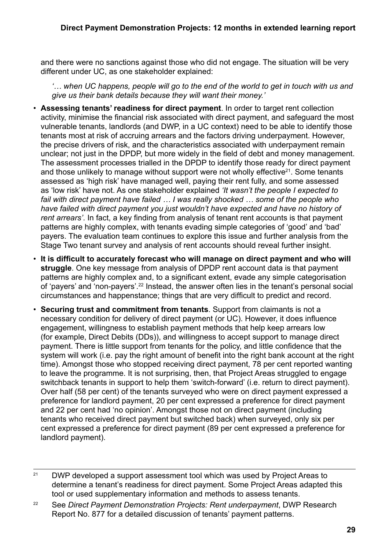and there were no sanctions against those who did not engage. The situation will be very different under UC, as one stakeholder explained:

*'… when UC happens, people will go to the end of the world to get in touch with us and give us their bank details because they will want their money.'* 

- **Assessing tenants' readiness for direct payment**. In order to target rent collection activity, minimise the financial risk associated with direct payment, and safeguard the most vulnerable tenants, landlords (and DWP, in a UC context) need to be able to identify those tenants most at risk of accruing arrears and the factors driving underpayment. However, the precise drivers of risk, and the characteristics associated with underpayment remain unclear; not just in the DPDP, but more widely in the field of debt and money management. The assessment processes trialled in the DPDP to identify those ready for direct payment and those unlikely to manage without support were not wholly effective $21$ . Some tenants assessed as 'high risk' have managed well, paying their rent fully, and some assessed as 'low risk' have not. As one stakeholder explained *'It wasn't the people I expected to fail with direct payment have failed … I was really shocked … some of the people who have failed with direct payment you just wouldn't have expected and have no history of rent arrears'*. In fact, a key finding from analysis of tenant rent accounts is that payment patterns are highly complex, with tenants evading simple categories of 'good' and 'bad' payers. The evaluation team continues to explore this issue and further analysis from the Stage Two tenant survey and analysis of rent accounts should reveal further insight.
- **It is difficult to accurately forecast who will manage on direct payment and who will struggle**. One key message from analysis of DPDP rent account data is that payment patterns are highly complex and, to a significant extent, evade any simple categorisation of 'payers' and 'non-payers'.22 Instead, the answer often lies in the tenant's personal social circumstances and happenstance; things that are very difficult to predict and record.
- **Securing trust and commitment from tenants**. Support from claimants is not a necessary condition for delivery of direct payment (or UC). However, it does influence engagement, willingness to establish payment methods that help keep arrears low (for example, Direct Debits (DDs)), and willingness to accept support to manage direct payment. There is little support from tenants for the policy, and little confidence that the system will work (i.e. pay the right amount of benefit into the right bank account at the right time). Amongst those who stopped receiving direct payment, 78 per cent reported wanting to leave the programme. It is not surprising, then, that Project Areas struggled to engage switchback tenants in support to help them 'switch-forward' (i.e. return to direct payment). Over half (58 per cent) of the tenants surveyed who were on direct payment expressed a preference for landlord payment, 20 per cent expressed a preference for direct payment and 22 per cent had 'no opinion'. Amongst those not on direct payment (including tenants who received direct payment but switched back) when surveyed, only six per cent expressed a preference for direct payment (89 per cent expressed a preference for landlord payment).

 $21$  DWP developed a support assessment tool which was used by Project Areas to determine a tenant's readiness for direct payment. Some Project Areas adapted this tool or used supplementary information and methods to assess tenants.

<sup>22</sup> See *Direct Payment Demonstration Projects: Rent underpayment*, DWP Research Report No. 877 for a detailed discussion of tenants' payment patterns.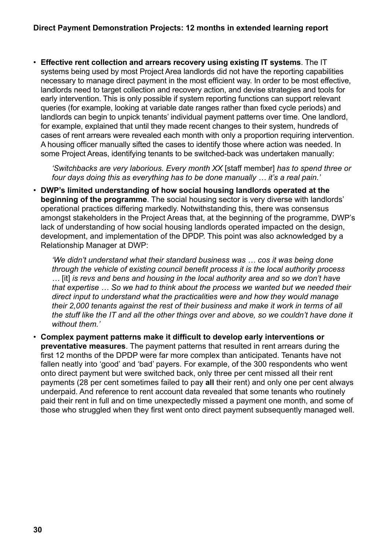#### **Direct Payment Demonstration Projects: 12 months in extended learning report**

• **Effective rent collection and arrears recovery using existing IT systems**. The IT systems being used by most Project Area landlords did not have the reporting capabilities necessary to manage direct payment in the most efficient way. In order to be most effective, landlords need to target collection and recovery action, and devise strategies and tools for early intervention. This is only possible if system reporting functions can support relevant queries (for example, looking at variable date ranges rather than fixed cycle periods) and landlords can begin to unpick tenants' individual payment patterns over time. One landlord, for example, explained that until they made recent changes to their system, hundreds of cases of rent arrears were revealed each month with only a proportion requiring intervention. A housing officer manually sifted the cases to identify those where action was needed. In some Project Areas, identifying tenants to be switched-back was undertaken manually:

*'Switchbacks are very laborious. Every month XX* [staff member] *has to spend three or four days doing this as everything has to be done manually … it's a real pain.'*

• **DWP's limited understanding of how social housing landlords operated at the beginning of the programme**. The social housing sector is very diverse with landlords' operational practices differing markedly. Notwithstanding this, there was consensus amongst stakeholders in the Project Areas that, at the beginning of the programme, DWP's lack of understanding of how social housing landlords operated impacted on the design, development, and implementation of the DPDP. This point was also acknowledged by a Relationship Manager at DWP:

*'We didn't understand what their standard business was … cos it was being done through the vehicle of existing council benefit process it is the local authority process …* [it] *is revs and bens and housing in the local authority area and so we don't have that expertise … So we had to think about the process we wanted but we needed their direct input to understand what the practicalities were and how they would manage their 2,000 tenants against the rest of their business and make it work in terms of all the stuff like the IT and all the other things over and above, so we couldn't have done it without them.'* 

• **Complex payment patterns make it difficult to develop early interventions or preventative measures**. The payment patterns that resulted in rent arrears during the first 12 months of the DPDP were far more complex than anticipated. Tenants have not fallen neatly into 'good' and 'bad' payers. For example, of the 300 respondents who went onto direct payment but were switched back, only three per cent missed all their rent payments (28 per cent sometimes failed to pay **all** their rent) and only one per cent always underpaid. And reference to rent account data revealed that some tenants who routinely paid their rent in full and on time unexpectedly missed a payment one month, and some of those who struggled when they first went onto direct payment subsequently managed well.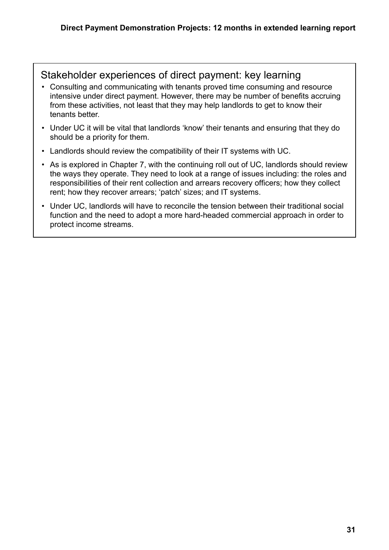#### Stakeholder experiences of direct payment: key learning

- Consulting and communicating with tenants proved time consuming and resource intensive under direct payment. However, there may be number of benefits accruing from these activities, not least that they may help landlords to get to know their tenants better.
- Under UC it will be vital that landlords 'know' their tenants and ensuring that they do should be a priority for them.
- Landlords should review the compatibility of their IT systems with UC.
- As is explored in Chapter 7, with the continuing roll out of UC, landlords should review the ways they operate. They need to look at a range of issues including: the roles and responsibilities of their rent collection and arrears recovery officers; how they collect rent; how they recover arrears; 'patch' sizes; and IT systems.
- Under UC, landlords will have to reconcile the tension between their traditional social function and the need to adopt a more hard-headed commercial approach in order to protect income streams.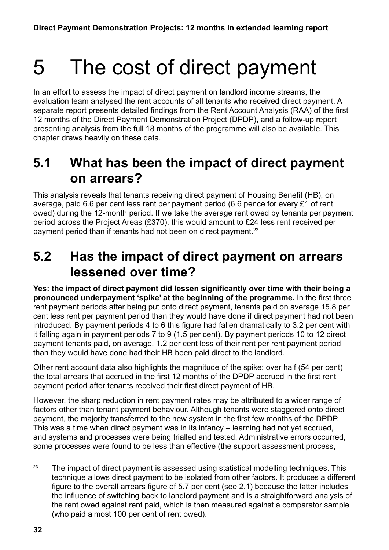# <span id="page-31-0"></span>5 The cost of direct payment

In an effort to assess the impact of direct payment on landlord income streams, the evaluation team analysed the rent accounts of all tenants who received direct payment. A separate report presents detailed findings from the Rent Account Analysis (RAA) of the first 12 months of the Direct Payment Demonstration Project (DPDP), and a follow-up report presenting analysis from the full 18 months of the programme will also be available. This chapter draws heavily on these data.

### **5.1 What has been the impact of direct payment on arrears?**

This analysis reveals that tenants receiving direct payment of Housing Benefit (HB), on average, paid 6.6 per cent less rent per payment period (6.6 pence for every £1 of rent owed) during the 12-month period. If we take the average rent owed by tenants per payment period across the Project Areas (£370), this would amount to £24 less rent received per payment period than if tenants had not been on direct payment.<sup>23</sup>

### **5.2 Has the impact of direct payment on arrears lessened over time?**

**Yes: the impact of direct payment did lessen significantly over time with their being a pronounced underpayment 'spike' at the beginning of the programme.** In the first three rent payment periods after being put onto direct payment, tenants paid on average 15.8 per cent less rent per payment period than they would have done if direct payment had not been introduced. By payment periods 4 to 6 this figure had fallen dramatically to 3.2 per cent with it falling again in payment periods 7 to 9 (1.5 per cent). By payment periods 10 to 12 direct payment tenants paid, on average, 1.2 per cent less of their rent per rent payment period than they would have done had their HB been paid direct to the landlord.

Other rent account data also highlights the magnitude of the spike: over half (54 per cent) the total arrears that accrued in the first 12 months of the DPDP accrued in the first rent payment period after tenants received their first direct payment of HB.

However, the sharp reduction in rent payment rates may be attributed to a wider range of factors other than tenant payment behaviour. Although tenants were staggered onto direct payment, the majority transferred to the new system in the first few months of the DPDP. This was a time when direct payment was in its infancy – learning had not yet accrued, and systems and processes were being trialled and tested. Administrative errors occurred, some processes were found to be less than effective (the support assessment process,

 $23$  The impact of direct payment is assessed using statistical modelling techniques. This technique allows direct payment to be isolated from other factors. It produces a different figure to the overall arrears figure of 5.7 per cent (see 2.1) because the latter includes the influence of switching back to landlord payment and is a straightforward analysis of the rent owed against rent paid, which is then measured against a comparator sample (who paid almost 100 per cent of rent owed).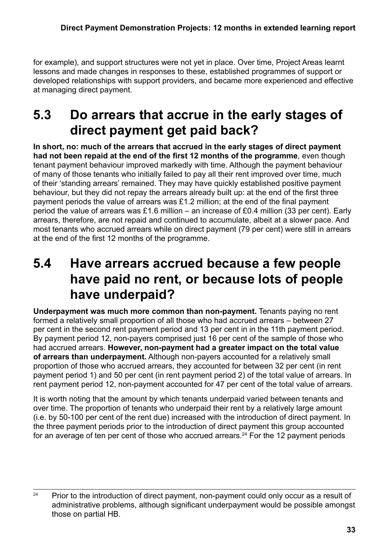<span id="page-32-0"></span>for example), and support structures were not yet in place. Over time, Project Areas learnt lessons and made changes in responses to these, established programmes of support or developed relationships with support providers, and became more experienced and effective at managing direct payment.

## **5.3 Do arrears that accrue in the early stages of direct payment get paid back?**

**In short, no: much of the arrears that accrued in the early stages of direct payment had not been repaid at the end of the first 12 months of the programme**, even though tenant payment behaviour improved markedly with time. Although the payment behaviour of many of those tenants who initially failed to pay all their rent improved over time, much of their 'standing arrears' remained. They may have quickly established positive payment behaviour, but they did not repay the arrears already built up: at the end of the first three payment periods the value of arrears was £1.2 million; at the end of the final payment period the value of arrears was £1.6 million – an increase of £0.4 million (33 per cent). Early arrears, therefore, are not repaid and continued to accumulate, albeit at a slower pace. And most tenants who accrued arrears while on direct payment (79 per cent) were still in arrears at the end of the first 12 months of the programme.

### **5.4 Have arrears accrued because a few people have paid no rent, or because lots of people have underpaid?**

**Underpayment was much more common than non-payment.** Tenants paying no rent formed a relatively small proportion of all those who had accrued arrears – between 27 per cent in the second rent payment period and 13 per cent in in the 11th payment period. By payment period 12, non-payers comprised just 16 per cent of the sample of those who had accrued arrears. **However, non-payment had a greater impact on the total value of arrears than underpayment.** Although non-payers accounted for a relatively small proportion of those who accrued arrears, they accounted for between 32 per cent (in rent payment period 1) and 50 per cent (in rent payment period 2) of the total value of arrears. In rent payment period 12, non-payment accounted for 47 per cent of the total value of arrears.

It is worth noting that the amount by which tenants underpaid varied between tenants and over time. The proportion of tenants who underpaid their rent by a relatively large amount (i.e. by 50-100 per cent of the rent due) increased with the introduction of direct payment. In the three payment periods prior to the introduction of direct payment this group accounted for an average of ten per cent of those who accrued arrears.<sup>24</sup> For the 12 payment periods

<sup>&</sup>lt;sup>24</sup> Prior to the introduction of direct payment, non-payment could only occur as a result of administrative problems, although significant underpayment would be possible amongst those on partial HB.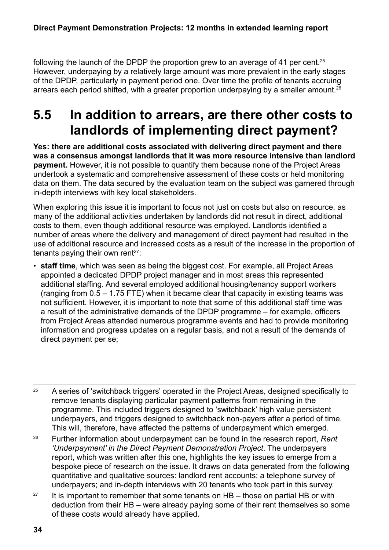<span id="page-33-0"></span>following the launch of the DPDP the proportion grew to an average of 41 per cent.<sup>25</sup> However, underpaying by a relatively large amount was more prevalent in the early stages of the DPDP, particularly in payment period one. Over time the profile of tenants accruing arrears each period shifted, with a greater proportion underpaying by a smaller amount.<sup>26</sup>

## **5.5 In addition to arrears, are there other costs to landlords of implementing direct payment?**

**Yes: there are additional costs associated with delivering direct payment and there was a consensus amongst landlords that it was more resource intensive than landlord payment.** However, it is not possible to quantify them because none of the Project Areas undertook a systematic and comprehensive assessment of these costs or held monitoring data on them. The data secured by the evaluation team on the subject was garnered through in-depth interviews with key local stakeholders.

When exploring this issue it is important to focus not just on costs but also on resource, as many of the additional activities undertaken by landlords did not result in direct, additional costs to them, even though additional resource was employed. Landlords identified a number of areas where the delivery and management of direct payment had resulted in the use of additional resource and increased costs as a result of the increase in the proportion of tenants paying their own rent $27$ :

• **staff time**, which was seen as being the biggest cost. For example, all Project Areas appointed a dedicated DPDP project manager and in most areas this represented additional staffing. And several employed additional housing/tenancy support workers (ranging from 0.5 – 1.75 FTE) when it became clear that capacity in existing teams was not sufficient. However, it is important to note that some of this additional staff time was a result of the administrative demands of the DPDP programme – for example, officers from Project Areas attended numerous programme events and had to provide monitoring information and progress updates on a regular basis, and not a result of the demands of direct payment per se;

<sup>25</sup> A series of 'switchback triggers' operated in the Project Areas, designed specifically to remove tenants displaying particular payment patterns from remaining in the programme. This included triggers designed to 'switchback' high value persistent underpayers, and triggers designed to switchback non-payers after a period of time. This will, therefore, have affected the patterns of underpayment which emerged.

<sup>26</sup> Further information about underpayment can be found in the research report, *Rent 'Underpayment' in the Direct Payment Demonstration Project*. The underpayers report, which was written after this one, highlights the key issues to emerge from a bespoke piece of research on the issue. It draws on data generated from the following quantitative and qualitative sources: landlord rent accounts; a telephone survey of underpayers; and in-depth interviews with 20 tenants who took part in this survey.

<sup>27</sup> It is important to remember that some tenants on HB – those on partial HB or with deduction from their HB – were already paying some of their rent themselves so some of these costs would already have applied.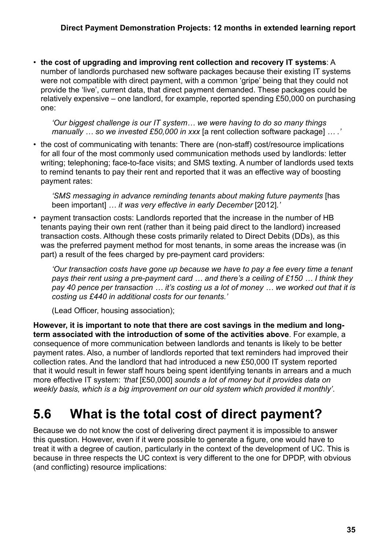<span id="page-34-0"></span>• **the cost of upgrading and improving rent collection and recovery IT systems**: A number of landlords purchased new software packages because their existing IT systems were not compatible with direct payment, with a common 'gripe' being that they could not provide the 'live', current data, that direct payment demanded. These packages could be relatively expensive – one landlord, for example, reported spending £50,000 on purchasing one:

*'Our biggest challenge is our IT system… we were having to do so many things manually … so we invested £50,000 in xxx* [a rent collection software package] *… .'*

• the cost of communicating with tenants: There are (non-staff) cost/resource implications for all four of the most commonly used communication methods used by landlords: letter writing; telephoning; face-to-face visits; and SMS texting. A number of landlords used texts to remind tenants to pay their rent and reported that it was an effective way of boosting payment rates:

*'SMS messaging in advance reminding tenants about making future payments* [has been important] *… it was very effective in early December* [2012]*.'*

• payment transaction costs: Landlords reported that the increase in the number of HB tenants paying their own rent (rather than it being paid direct to the landlord) increased transaction costs. Although these costs primarily related to Direct Debits (DDs), as this was the preferred payment method for most tenants, in some areas the increase was (in part) a result of the fees charged by pre-payment card providers:

*'Our transaction costs have gone up because we have to pay a fee every time a tenant pays their rent using a pre-payment card … and there's a ceiling of £150 … I think they pay 40 pence per transaction … it's costing us a lot of money … we worked out that it is costing us £440 in additional costs for our tenants.'* 

(Lead Officer, housing association);

**However, it is important to note that there are cost savings in the medium and longterm associated with the introduction of some of the activities above**. For example, a consequence of more communication between landlords and tenants is likely to be better payment rates. Also, a number of landlords reported that text reminders had improved their collection rates. And the landlord that had introduced a new £50,000 IT system reported that it would result in fewer staff hours being spent identifying tenants in arrears and a much more effective IT system: *'that* [£50,000] *sounds a lot of money but it provides data on weekly basis, which is a big improvement on our old system which provided it monthly'*.

### **5.6 What is the total cost of direct payment?**

Because we do not know the cost of delivering direct payment it is impossible to answer this question. However, even if it were possible to generate a figure, one would have to treat it with a degree of caution, particularly in the context of the development of UC. This is because in three respects the UC context is very different to the one for DPDP, with obvious (and conflicting) resource implications: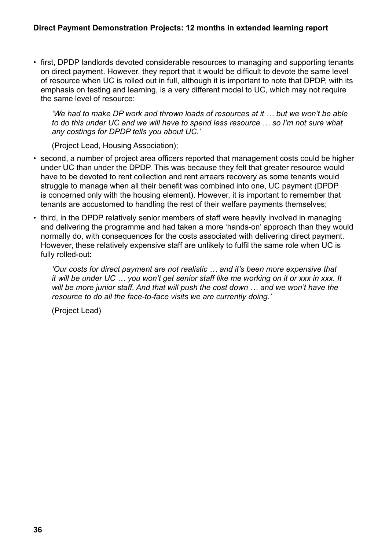• first, DPDP landlords devoted considerable resources to managing and supporting tenants on direct payment. However, they report that it would be difficult to devote the same level of resource when UC is rolled out in full, although it is important to note that DPDP, with its emphasis on testing and learning, is a very different model to UC, which may not require the same level of resource:

*'We had to make DP work and thrown loads of resources at it … but we won't be able to do this under UC and we will have to spend less resource … so I'm not sure what any costings for DPDP tells you about UC.'*

(Project Lead, Housing Association);

- second, a number of project area officers reported that management costs could be higher under UC than under the DPDP. This was because they felt that greater resource would have to be devoted to rent collection and rent arrears recovery as some tenants would struggle to manage when all their benefit was combined into one, UC payment (DPDP is concerned only with the housing element). However, it is important to remember that tenants are accustomed to handling the rest of their welfare payments themselves;
- third, in the DPDP relatively senior members of staff were heavily involved in managing and delivering the programme and had taken a more 'hands-on' approach than they would normally do, with consequences for the costs associated with delivering direct payment. However, these relatively expensive staff are unlikely to fulfil the same role when UC is fully rolled-out:

*'Our costs for direct payment are not realistic … and it's been more expensive that it will be under UC … you won't get senior staff like me working on it or xxx in xxx. It will be more junior staff. And that will push the cost down … and we won't have the resource to do all the face-to-face visits we are currently doing.'*

(Project Lead)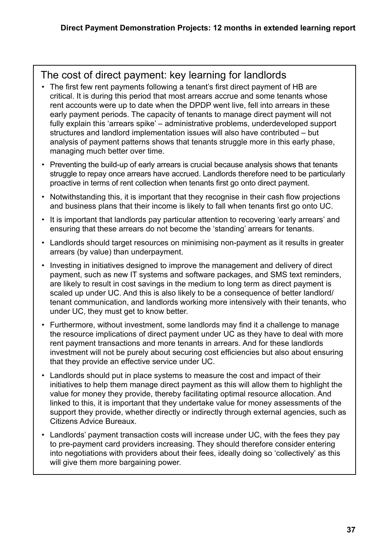### The cost of direct payment: key learning for landlords

- The first few rent payments following a tenant's first direct payment of HB are critical. It is during this period that most arrears accrue and some tenants whose rent accounts were up to date when the DPDP went live, fell into arrears in these early payment periods. The capacity of tenants to manage direct payment will not fully explain this 'arrears spike' – administrative problems, underdeveloped support structures and landlord implementation issues will also have contributed – but analysis of payment patterns shows that tenants struggle more in this early phase, managing much better over time.
- Preventing the build-up of early arrears is crucial because analysis shows that tenants struggle to repay once arrears have accrued. Landlords therefore need to be particularly proactive in terms of rent collection when tenants first go onto direct payment.
- Notwithstanding this, it is important that they recognise in their cash flow projections and business plans that their income is likely to fall when tenants first go onto UC.
- It is important that landlords pay particular attention to recovering 'early arrears' and ensuring that these arrears do not become the 'standing' arrears for tenants.
- Landlords should target resources on minimising non-payment as it results in greater arrears (by value) than underpayment.
- Investing in initiatives designed to improve the management and delivery of direct payment, such as new IT systems and software packages, and SMS text reminders, are likely to result in cost savings in the medium to long term as direct payment is scaled up under UC. And this is also likely to be a consequence of better landlord/ tenant communication, and landlords working more intensively with their tenants, who under UC, they must get to know better.
- Furthermore, without investment, some landlords may find it a challenge to manage the resource implications of direct payment under UC as they have to deal with more rent payment transactions and more tenants in arrears. And for these landlords investment will not be purely about securing cost efficiencies but also about ensuring that they provide an effective service under UC.
- Landlords should put in place systems to measure the cost and impact of their initiatives to help them manage direct payment as this will allow them to highlight the value for money they provide, thereby facilitating optimal resource allocation. And linked to this, it is important that they undertake value for money assessments of the support they provide, whether directly or indirectly through external agencies, such as Citizens Advice Bureaux.
- Landlords' payment transaction costs will increase under UC, with the fees they pay to pre-payment card providers increasing. They should therefore consider entering into negotiations with providers about their fees, ideally doing so 'collectively' as this will give them more bargaining power.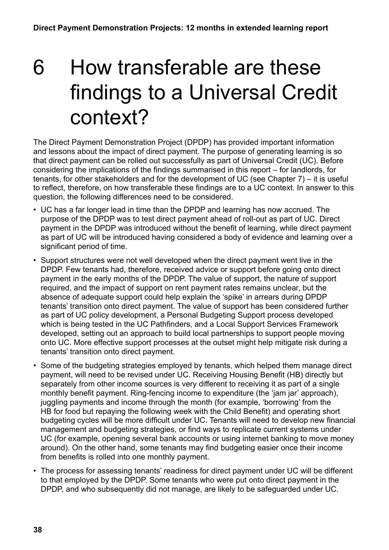# <span id="page-37-0"></span>6 How transferable are these findings to a Universal Credit context?

The Direct Payment Demonstration Project (DPDP) has provided important information and lessons about the impact of direct payment. The purpose of generating learning is so that direct payment can be rolled out successfully as part of Universal Credit (UC). Before considering the implications of the findings summarised in this report – for landlords, for tenants, for other stakeholders and for the development of UC (see Chapter 7) – it is useful to reflect, therefore, on how transferable these findings are to a UC context. In answer to this question, the following differences need to be considered.

- UC has a far longer lead in time than the DPDP and learning has now accrued. The purpose of the DPDP was to test direct payment ahead of roll-out as part of UC. Direct payment in the DPDP was introduced without the benefit of learning, while direct payment as part of UC will be introduced having considered a body of evidence and learning over a significant period of time.
- Support structures were not well developed when the direct payment went live in the DPDP. Few tenants had, therefore, received advice or support before going onto direct payment in the early months of the DPDP. The value of support, the nature of support required, and the impact of support on rent payment rates remains unclear, but the absence of adequate support could help explain the 'spike' in arrears during DPDP tenants' transition onto direct payment. The value of support has been considered further as part of UC policy development, a Personal Budgeting Support process developed which is being tested in the UC Pathfinders, and a Local Support Services Framework developed, setting out an approach to build local partnerships to support people moving onto UC. More effective support processes at the outset might help mitigate risk during a tenants' transition onto direct payment.
- Some of the budgeting strategies employed by tenants, which helped them manage direct payment, will need to be revised under UC. Receiving Housing Benefit (HB) directly but separately from other income sources is very different to receiving it as part of a single monthly benefit payment. Ring-fencing income to expenditure (the 'jam jar' approach), juggling payments and income through the month (for example, 'borrowing' from the HB for food but repaying the following week with the Child Benefit) and operating short budgeting cycles will be more difficult under UC. Tenants will need to develop new financial management and budgeting strategies, or find ways to replicate current systems under UC (for example, opening several bank accounts or using internet banking to move money around). On the other hand, some tenants may find budgeting easier once their income from benefits is rolled into one monthly payment.
- The process for assessing tenants' readiness for direct payment under UC will be different to that employed by the DPDP. Some tenants who were put onto direct payment in the DPDP, and who subsequently did not manage, are likely to be safeguarded under UC.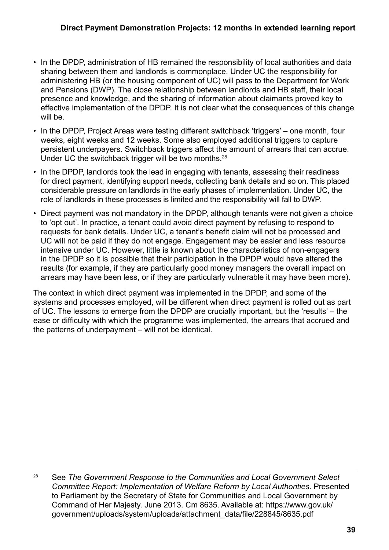- In the DPDP, administration of HB remained the responsibility of local authorities and data sharing between them and landlords is commonplace. Under UC the responsibility for administering HB (or the housing component of UC) will pass to the Department for Work and Pensions (DWP). The close relationship between landlords and HB staff, their local presence and knowledge, and the sharing of information about claimants proved key to effective implementation of the DPDP. It is not clear what the consequences of this change will be.
- In the DPDP, Project Areas were testing different switchback 'triggers' one month, four weeks, eight weeks and 12 weeks. Some also employed additional triggers to capture persistent underpayers. Switchback triggers affect the amount of arrears that can accrue. Under UC the switchback trigger will be two months.<sup>28</sup>
- In the DPDP, landlords took the lead in engaging with tenants, assessing their readiness for direct payment, identifying support needs, collecting bank details and so on. This placed considerable pressure on landlords in the early phases of implementation. Under UC, the role of landlords in these processes is limited and the responsibility will fall to DWP.
- Direct payment was not mandatory in the DPDP, although tenants were not given a choice to 'opt out'. In practice, a tenant could avoid direct payment by refusing to respond to requests for bank details. Under UC, a tenant's benefit claim will not be processed and UC will not be paid if they do not engage. Engagement may be easier and less resource intensive under UC. However, little is known about the characteristics of non-engagers in the DPDP so it is possible that their participation in the DPDP would have altered the results (for example, if they are particularly good money managers the overall impact on arrears may have been less, or if they are particularly vulnerable it may have been more).

The context in which direct payment was implemented in the DPDP, and some of the systems and processes employed, will be different when direct payment is rolled out as part of UC. The lessons to emerge from the DPDP are crucially important, but the 'results' – the ease or difficulty with which the programme was implemented, the arrears that accrued and the patterns of underpayment – will not be identical.

<sup>28</sup> See *The Government Response to the Communities and Local Government Select Committee Report: Implementation of Welfare Reform by Local Authorities*. Presented to Parliament by the Secretary of State for Communities and Local Government by Command of Her Majesty. June 2013. Cm 8635. Available at: https://www.gov.uk/ government/uploads/system/uploads/attachment\_data/file/228845/8635.pdf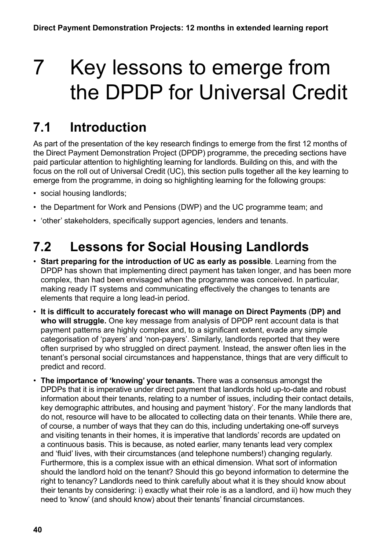# <span id="page-39-0"></span>7 Key lessons to emerge from the DPDP for Universal Credit

## **7.1 Introduction**

As part of the presentation of the key research findings to emerge from the first 12 months of the Direct Payment Demonstration Project (DPDP) programme, the preceding sections have paid particular attention to highlighting learning for landlords. Building on this, and with the focus on the roll out of Universal Credit (UC), this section pulls together all the key learning to emerge from the programme, in doing so highlighting learning for the following groups:

- social housing landlords;
- the Department for Work and Pensions (DWP) and the UC programme team; and
- 'other' stakeholders, specifically support agencies, lenders and tenants.

## **7.2 Lessons for Social Housing Landlords**

- **Start preparing for the introduction of UC as early as possible**. Learning from the DPDP has shown that implementing direct payment has taken longer, and has been more complex, than had been envisaged when the programme was conceived. In particular, making ready IT systems and communicating effectively the changes to tenants are elements that require a long lead-in period.
- **It is difficult to accurately forecast who will manage on Direct Payments** (**DP) and who will struggle.** One key message from analysis of DPDP rent account data is that payment patterns are highly complex and, to a significant extent, evade any simple categorisation of 'payers' and 'non-payers'. Similarly, landlords reported that they were often surprised by who struggled on direct payment. Instead, the answer often lies in the tenant's personal social circumstances and happenstance, things that are very difficult to predict and record.
- **The importance of 'knowing' your tenants.** There was a consensus amongst the DPDPs that it is imperative under direct payment that landlords hold up-to-date and robust information about their tenants, relating to a number of issues, including their contact details, key demographic attributes, and housing and payment 'history'. For the many landlords that do not, resource will have to be allocated to collecting data on their tenants. While there are, of course, a number of ways that they can do this, including undertaking one-off surveys and visiting tenants in their homes, it is imperative that landlords' records are updated on a continuous basis. This is because, as noted earlier, many tenants lead very complex and 'fluid' lives, with their circumstances (and telephone numbers!) changing regularly. Furthermore, this is a complex issue with an ethical dimension. What sort of information should the landlord hold on the tenant? Should this go beyond information to determine the right to tenancy? Landlords need to think carefully about what it is they should know about their tenants by considering: i) exactly what their role is as a landlord, and ii) how much they need to 'know' (and should know) about their tenants' financial circumstances.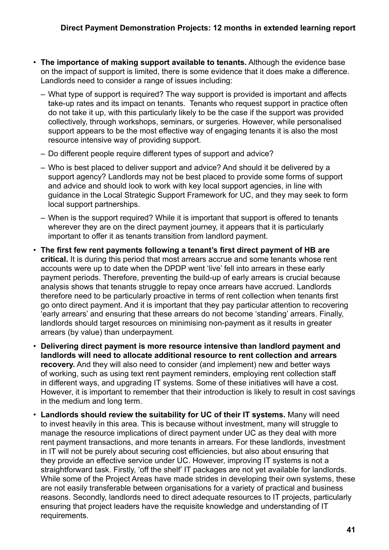- **The importance of making support available to tenants.** Although the evidence base on the impact of support is limited, there is some evidence that it does make a difference. Landlords need to consider a range of issues including:
	- What type of support is required? The way support is provided is important and affects take-up rates and its impact on tenants. Tenants who request support in practice often do not take it up, with this particularly likely to be the case if the support was provided collectively, through workshops, seminars, or surgeries. However, while personalised support appears to be the most effective way of engaging tenants it is also the most resource intensive way of providing support.
	- Do different people require different types of support and advice?
	- Who is best placed to deliver support and advice? And should it be delivered by a support agency? Landlords may not be best placed to provide some forms of support and advice and should look to work with key local support agencies, in line with guidance in the Local Strategic Support Framework for UC, and they may seek to form local support partnerships.
	- When is the support required? While it is important that support is offered to tenants wherever they are on the direct payment journey, it appears that it is particularly important to offer it as tenants transition from landlord payment.
- **The first few rent payments following a tenant's first direct payment of HB are critical.** It is during this period that most arrears accrue and some tenants whose rent accounts were up to date when the DPDP went 'live' fell into arrears in these early payment periods. Therefore, preventing the build-up of early arrears is crucial because analysis shows that tenants struggle to repay once arrears have accrued. Landlords therefore need to be particularly proactive in terms of rent collection when tenants first go onto direct payment. And it is important that they pay particular attention to recovering 'early arrears' and ensuring that these arrears do not become 'standing' arrears. Finally, landlords should target resources on minimising non-payment as it results in greater arrears (by value) than underpayment.
- **Delivering direct payment is more resource intensive than landlord payment and landlords will need to allocate additional resource to rent collection and arrears recovery.** And they will also need to consider (and implement) new and better ways of working, such as using text rent payment reminders, employing rent collection staff in different ways, and upgrading IT systems. Some of these initiatives will have a cost. However, it is important to remember that their introduction is likely to result in cost savings in the medium and long term.
- **Landlords should review the suitability for UC of their IT systems.** Many will need to invest heavily in this area. This is because without investment, many will struggle to manage the resource implications of direct payment under UC as they deal with more rent payment transactions, and more tenants in arrears. For these landlords, investment in IT will not be purely about securing cost efficiencies, but also about ensuring that they provide an effective service under UC. However, improving IT systems is not a straightforward task. Firstly, 'off the shelf' IT packages are not yet available for landlords. While some of the Project Areas have made strides in developing their own systems, these are not easily transferable between organisations for a variety of practical and business reasons. Secondly, landlords need to direct adequate resources to IT projects, particularly ensuring that project leaders have the requisite knowledge and understanding of IT requirements.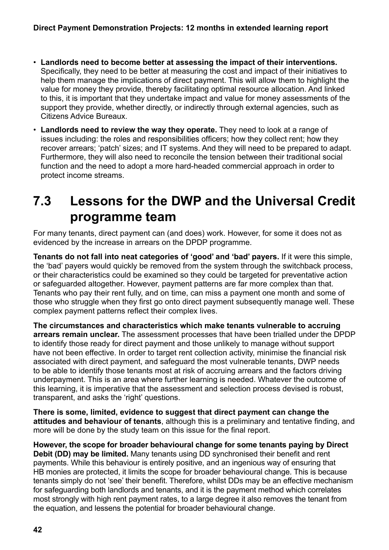- <span id="page-41-0"></span>• **Landlords need to become better at assessing the impact of their interventions.**  Specifically, they need to be better at measuring the cost and impact of their initiatives to help them manage the implications of direct payment. This will allow them to highlight the value for money they provide, thereby facilitating optimal resource allocation. And linked to this, it is important that they undertake impact and value for money assessments of the support they provide, whether directly, or indirectly through external agencies, such as Citizens Advice Bureaux.
- **Landlords need to review the way they operate.** They need to look at a range of issues including: the roles and responsibilities officers; how they collect rent; how they recover arrears; 'patch' sizes; and IT systems. And they will need to be prepared to adapt. Furthermore, they will also need to reconcile the tension between their traditional social function and the need to adopt a more hard-headed commercial approach in order to protect income streams.

## **7.3 Lessons for the DWP and the Universal Credit programme team**

For many tenants, direct payment can (and does) work. However, for some it does not as evidenced by the increase in arrears on the DPDP programme.

**Tenants do not fall into neat categories of 'good' and 'bad' payers.** If it were this simple, the 'bad' payers would quickly be removed from the system through the switchback process, or their characteristics could be examined so they could be targeted for preventative action or safeguarded altogether. However, payment patterns are far more complex than that. Tenants who pay their rent fully, and on time, can miss a payment one month and some of those who struggle when they first go onto direct payment subsequently manage well. These complex payment patterns reflect their complex lives.

**The circumstances and characteristics which make tenants vulnerable to accruing arrears remain unclear.** The assessment processes that have been trialled under the DPDP to identify those ready for direct payment and those unlikely to manage without support have not been effective. In order to target rent collection activity, minimise the financial risk associated with direct payment, and safeguard the most vulnerable tenants, DWP needs to be able to identify those tenants most at risk of accruing arrears and the factors driving underpayment. This is an area where further learning is needed. Whatever the outcome of this learning, it is imperative that the assessment and selection process devised is robust, transparent, and asks the 'right' questions.

**There is some, limited, evidence to suggest that direct payment can change the attitudes and behaviour of tenants**, although this is a preliminary and tentative finding, and more will be done by the study team on this issue for the final report.

**However, the scope for broader behavioural change for some tenants paying by Direct Debit (DD) may be limited.** Many tenants using DD synchronised their benefit and rent payments. While this behaviour is entirely positive, and an ingenious way of ensuring that HB monies are protected, it limits the scope for broader behavioural change. This is because tenants simply do not 'see' their benefit. Therefore, whilst DDs may be an effective mechanism for safeguarding both landlords and tenants, and it is the payment method which correlates most strongly with high rent payment rates, to a large degree it also removes the tenant from the equation, and lessens the potential for broader behavioural change.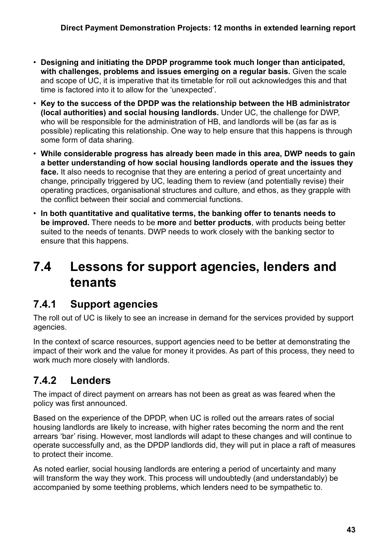- <span id="page-42-0"></span>• **Designing and initiating the DPDP programme took much longer than anticipated, with challenges, problems and issues emerging on a regular basis.** Given the scale and scope of UC, it is imperative that its timetable for roll out acknowledges this and that time is factored into it to allow for the 'unexpected'.
- **Key to the success of the DPDP was the relationship between the HB administrator (local authorities) and social housing landlords.** Under UC, the challenge for DWP, who will be responsible for the administration of HB, and landlords will be (as far as is possible) replicating this relationship. One way to help ensure that this happens is through some form of data sharing.
- **While considerable progress has already been made in this area, DWP needs to gain a better understanding of how social housing landlords operate and the issues they face.** It also needs to recognise that they are entering a period of great uncertainty and change, principally triggered by UC, leading them to review (and potentially revise) their operating practices, organisational structures and culture, and ethos, as they grapple with the conflict between their social and commercial functions.
- **In both quantitative and qualitative terms, the banking offer to tenants needs to be improved.** There needs to be **more** and **better products**, with products being better suited to the needs of tenants. DWP needs to work closely with the banking sector to ensure that this happens.

## **7.4 Lessons for support agencies, lenders and tenants**

### **7.4.1 Support agencies**

The roll out of UC is likely to see an increase in demand for the services provided by support agencies.

In the context of scarce resources, support agencies need to be better at demonstrating the impact of their work and the value for money it provides. As part of this process, they need to work much more closely with landlords.

### **7.4.2 Lenders**

The impact of direct payment on arrears has not been as great as was feared when the policy was first announced.

Based on the experience of the DPDP, when UC is rolled out the arrears rates of social housing landlords are likely to increase, with higher rates becoming the norm and the rent arrears 'bar' rising. However, most landlords will adapt to these changes and will continue to operate successfully and, as the DPDP landlords did, they will put in place a raft of measures to protect their income.

As noted earlier, social housing landlords are entering a period of uncertainty and many will transform the way they work. This process will undoubtedly (and understandably) be accompanied by some teething problems, which lenders need to be sympathetic to.